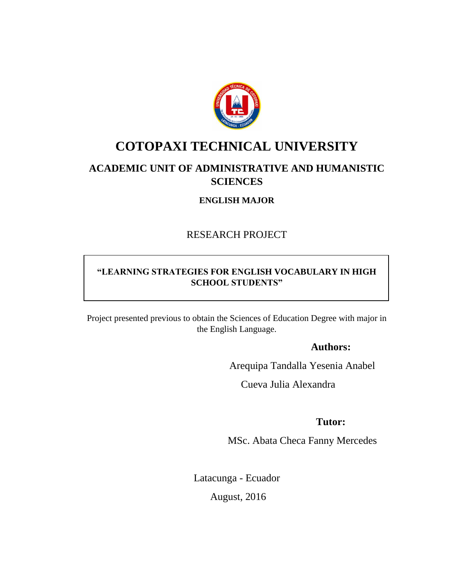

# <span id="page-0-0"></span>**COTOPAXI TECHNICAL UNIVERSITY**

# **ACADEMIC UNIT OF ADMINISTRATIVE AND HUMANISTIC SCIENCES**

**ENGLISH MAJOR**

RESEARCH PROJECT

# **"LEARNING STRATEGIES FOR ENGLISH VOCABULARY IN HIGH SCHOOL STUDENTS"**

Project presented previous to obtain the Sciences of Education Degree with major in the English Language.

# **Authors:**

Arequipa Tandalla Yesenia Anabel

Cueva Julia Alexandra

# **Tutor:**

MSc. Abata Checa Fanny Mercedes

Latacunga - Ecuador

August, 2016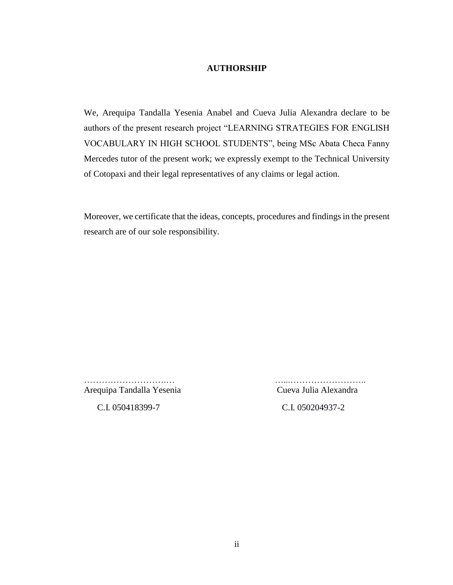#### **AUTHORSHIP**

<span id="page-1-0"></span>We, Arequipa Tandalla Yesenia Anabel and Cueva Julia Alexandra declare to be authors of the present research project "LEARNING STRATEGIES FOR ENGLISH VOCABULARY IN HIGH SCHOOL STUDENTS", being MSc Abata Checa Fanny Mercedes tutor of the present work; we expressly exempt to the Technical University of Cotopaxi and their legal representatives of any claims or legal action.

Moreover, we certificate that the ideas, concepts, procedures and findings in the present research are of our sole responsibility.

Arequipa Tandalla Yesenia Cueva Julia Alexandra

……………………….… …...……………………..

C.I. 050418399-7 C.I. 050204937-2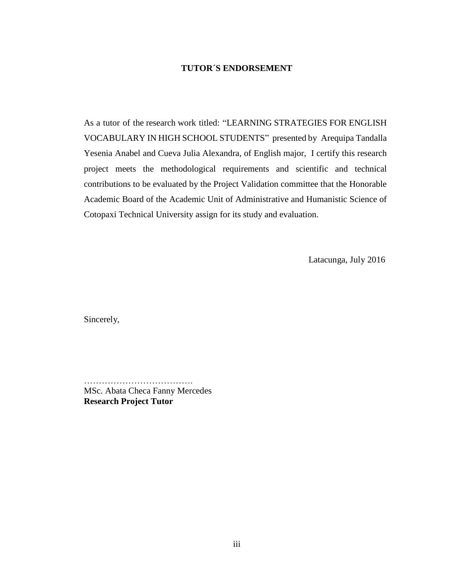#### **TUTOR´S ENDORSEMENT**

<span id="page-2-0"></span>As a tutor of the research work titled: "LEARNING STRATEGIES FOR ENGLISH VOCABULARY IN HIGH SCHOOL STUDENTS" presented by Arequipa Tandalla Yesenia Anabel and Cueva Julia Alexandra, of English major, I certify this research project meets the methodological requirements and scientific and technical contributions to be evaluated by the Project Validation committee that the Honorable Academic Board of the Academic Unit of Administrative and Humanistic Science of Cotopaxi Technical University assign for its study and evaluation.

Latacunga, July 2016

Sincerely,

MSc. Abata Checa Fanny Mercedes **Research Project Tutor**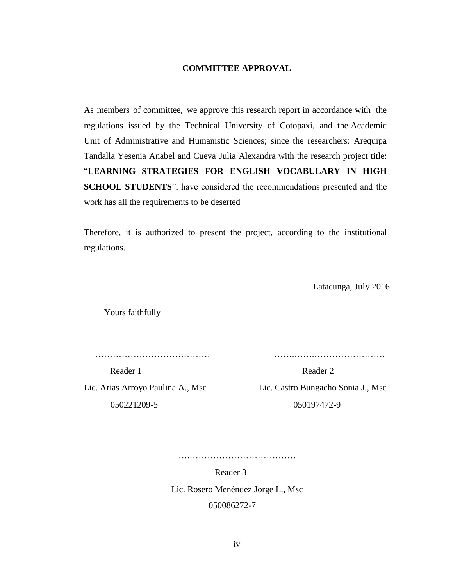#### **COMMITTEE APPROVAL**

<span id="page-3-0"></span>As members of committee, we approve this research report in accordance with the regulations issued by the Technical University of Cotopaxi, and the Academic Unit of Administrative and Humanistic Sciences; since the researchers: Arequipa Tandalla Yesenia Anabel and Cueva Julia Alexandra with the research project title: "**LEARNING STRATEGIES FOR ENGLISH VOCABULARY IN HIGH SCHOOL STUDENTS**", have considered the recommendations presented and the work has all the requirements to be deserted

Therefore, it is authorized to present the project, according to the institutional regulations.

Latacunga, July 2016

Yours faithfully

………………………………… …….…….……………………

050221209-5 050197472-9

Lic. Arias Arroyo Paulina A., Msc Lic. Castro Bungacho Sonia J., Msc

….………………………………

Reader 3

Reader 1 Reader 2

Lic. Rosero Menéndez Jorge L., Msc

050086272-7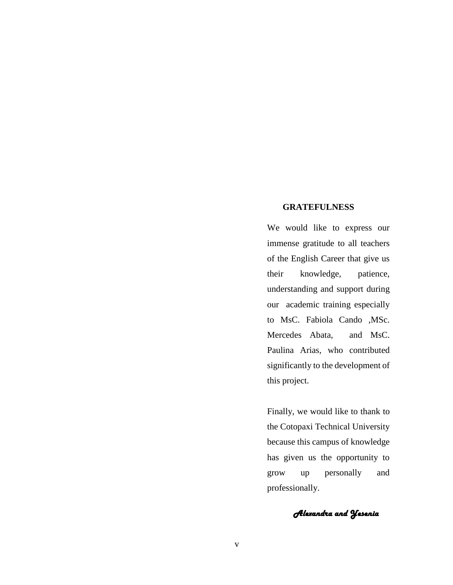#### <span id="page-4-0"></span>**GRATEFULNESS**

We would like to express our immense gratitude to all teachers of the English Career that give us their knowledge, patience, understanding and support during our academic training especially to MsC. Fabiola Cando ,MSc. Mercedes Abata, and MsC. Paulina Arias, who contributed significantly to the development of this project.

Finally, we would like to thank to the Cotopaxi Technical University because this campus of knowledge has given us the opportunity to grow up personally and professionally.

*Alexandra and Yesenia*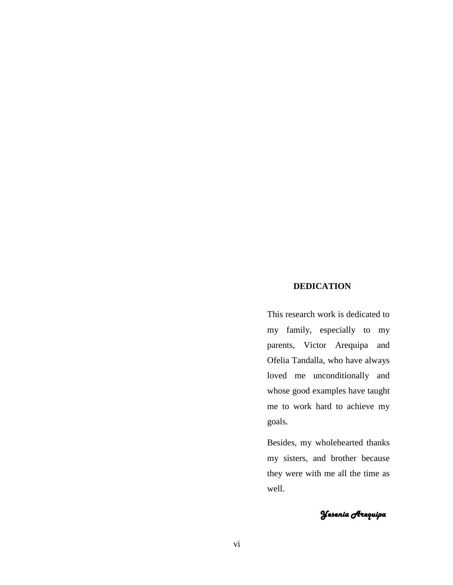## **DEDICATION**

<span id="page-5-0"></span>This research work is dedicated to my family, especially to my parents, Victor Arequipa and Ofelia Tandalla, who have always loved me unconditionally and whose good examples have taught me to work hard to achieve my goals.

Besides, my wholehearted thanks my sisters, and brother because they were with me all the time as well.

*Yesenia Arequipa*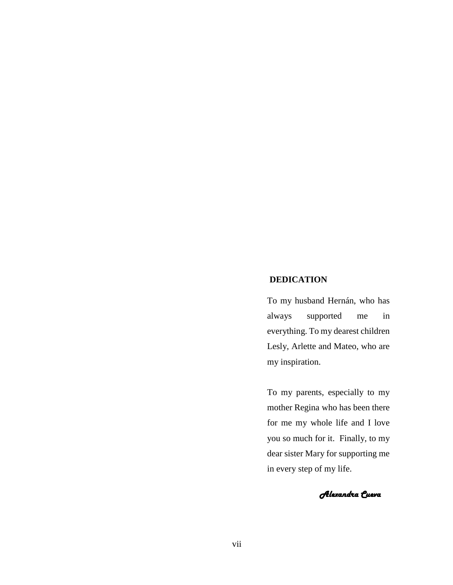#### <span id="page-6-0"></span>**DEDICATION**

To my husband Hernán, who has always supported me in everything. To my dearest children Lesly, Arlette and Mateo, who are my inspiration.

To my parents, especially to my mother Regina who has been there for me my whole life and I love you so much for it. Finally, to my dear sister Mary for supporting me in every step of my life.

*Alexandra Cueva*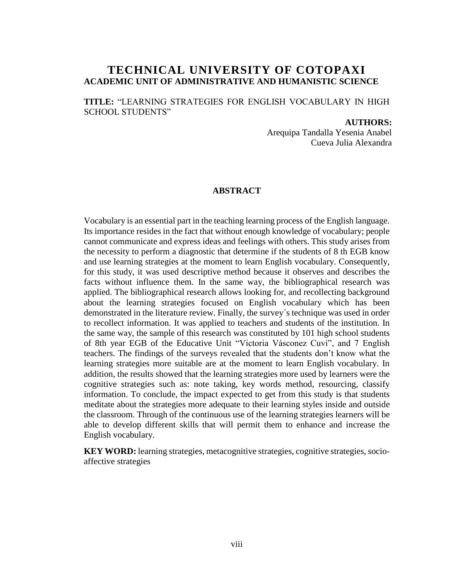# **TECHNICAL UNIVERSITY OF COTOPAXI ACADEMIC UNIT OF ADMINISTRATIVE AND HUMANISTIC SCIENCE**

**TITLE:** "LEARNING STRATEGIES FOR ENGLISH VOCABULARY IN HIGH SCHOOL STUDENTS"

#### **AUTHORS:**

Arequipa Tandalla Yesenia Anabel Cueva Julia Alexandra

#### **ABSTRACT**

<span id="page-7-0"></span>Vocabulary is an essential part in the teaching learning process of the English language. Its importance resides in the fact that without enough knowledge of vocabulary; people cannot communicate and express ideas and feelings with others. This study arises from the necessity to perform a diagnostic that determine if the students of 8 th EGB know and use learning strategies at the moment to learn English vocabulary. Consequently, for this study, it was used descriptive method because it observes and describes the facts without influence them. In the same way, the bibliographical research was applied. The bibliographical research allows looking for, and recollecting background about the learning strategies focused on English vocabulary which has been demonstrated in the literature review. Finally, the survey´s technique was used in order to recollect information. It was applied to teachers and students of the institution. In the same way, the sample of this research was constituted by 101 high school students of 8th year EGB of the Educative Unit "Victoria Vásconez Cuvi", and 7 English teachers. The findings of the surveys revealed that the students don't know what the learning strategies more suitable are at the moment to learn English vocabulary. In addition, the results showed that the learning strategies more used by learners were the cognitive strategies such as: note taking, key words method, resourcing, classify information. To conclude, the impact expected to get from this study is that students meditate about the strategies more adequate to their learning styles inside and outside the classroom. Through of the continuous use of the learning strategies learners will be able to develop different skills that will permit them to enhance and increase the English vocabulary.

**KEY WORD:** learning strategies, metacognitive strategies, cognitive strategies, socioaffective strategies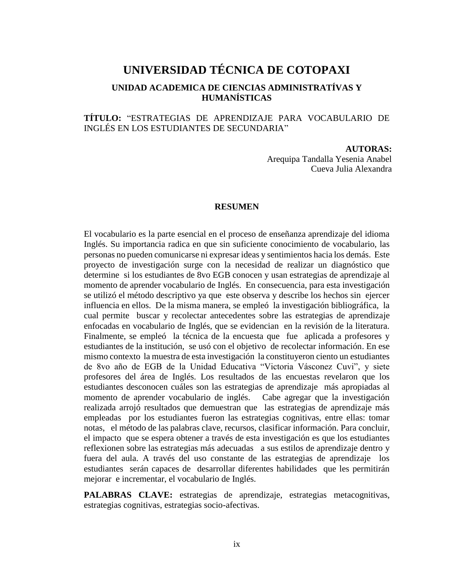# **UNIVERSIDAD TÉCNICA DE COTOPAXI**

# **UNIDAD ACADEMICA DE CIENCIAS ADMINISTRATÍVAS Y HUMANÍSTICAS**

## **TÍTULO:** "ESTRATEGIAS DE APRENDIZAJE PARA VOCABULARIO DE INGLÉS EN LOS ESTUDIANTES DE SECUNDARIA"

#### **AUTORAS:**

Arequipa Tandalla Yesenia Anabel Cueva Julia Alexandra

#### **RESUMEN**

<span id="page-8-0"></span>El vocabulario es la parte esencial en el proceso de enseñanza aprendizaje del idioma Inglés. Su importancia radica en que sin suficiente conocimiento de vocabulario, las personas no pueden comunicarse ni expresar ideas y sentimientos hacia los demás. Este proyecto de investigación surge con la necesidad de realizar un diagnóstico que determine si los estudiantes de 8vo EGB conocen y usan estrategias de aprendizaje al momento de aprender vocabulario de Inglés. En consecuencia, para esta investigación se utilizó el método descriptivo ya que este observa y describe los hechos sin ejercer influencia en ellos. De la misma manera, se empleó la investigación bibliográfica, la cual permite buscar y recolectar antecedentes sobre las estrategias de aprendizaje enfocadas en vocabulario de Inglés, que se evidencian en la revisión de la literatura. Finalmente, se empleó la técnica de la encuesta que fue aplicada a profesores y estudiantes de la institución, se usó con el objetivo de recolectar información. En ese mismo contexto la muestra de esta investigación la constituyeron ciento un estudiantes de 8vo año de EGB de la Unidad Educativa "Victoria Vásconez Cuvi", y siete profesores del área de Inglés. Los resultados de las encuestas revelaron que los estudiantes desconocen cuáles son las estrategias de aprendizaje más apropiadas al momento de aprender vocabulario de inglés. Cabe agregar que la investigación realizada arrojó resultados que demuestran que las estrategias de aprendizaje más empleadas por los estudiantes fueron las estrategias cognitivas, entre ellas: tomar notas, el método de las palabras clave, recursos, clasificar información. Para concluir, el impacto que se espera obtener a través de esta investigación es que los estudiantes reflexionen sobre las estrategias más adecuadas a sus estilos de aprendizaje dentro y fuera del aula. A través del uso constante de las estrategias de aprendizaje los estudiantes serán capaces de desarrollar diferentes habilidades que les permitirán mejorar e incrementar, el vocabulario de Inglés.

**PALABRAS CLAVE:** estrategias de aprendizaje, estrategias metacognitivas, estrategias cognitivas, estrategias socio-afectivas.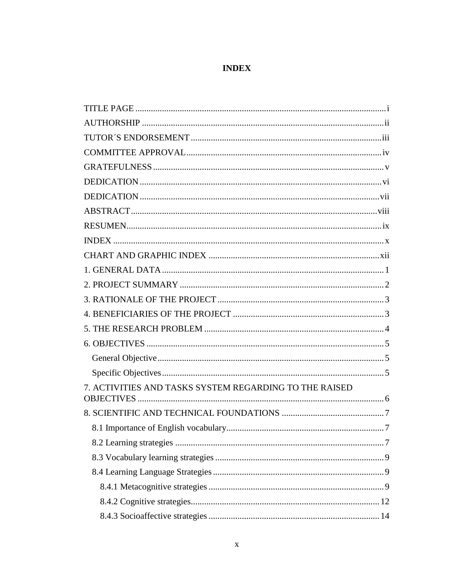# **INDEX**

<span id="page-9-0"></span>

| 7. ACTIVITIES AND TASKS SYSTEM REGARDING TO THE RAISED |  |
|--------------------------------------------------------|--|
|                                                        |  |
|                                                        |  |
|                                                        |  |
|                                                        |  |
|                                                        |  |
|                                                        |  |
|                                                        |  |
|                                                        |  |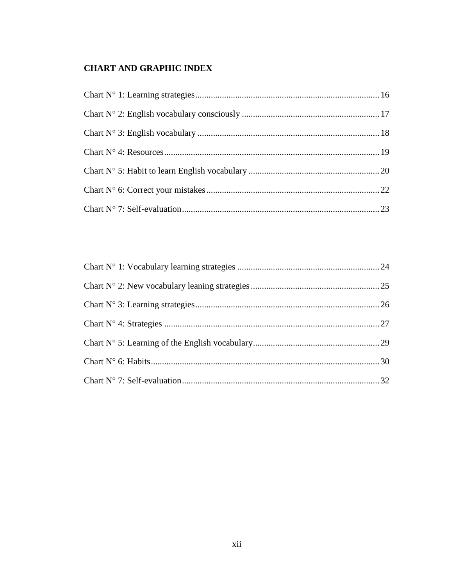# <span id="page-11-0"></span>**CHART AND GRAPHIC INDEX**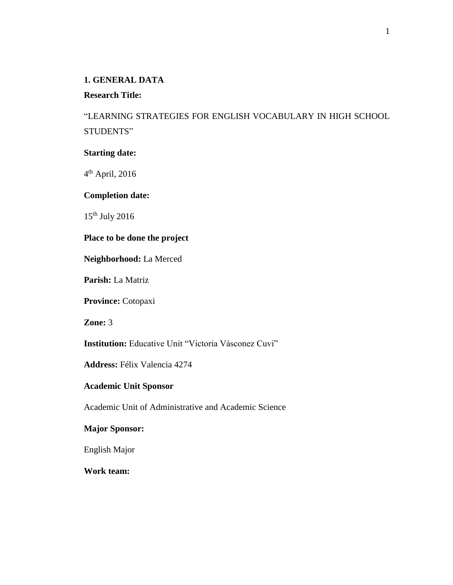## <span id="page-12-0"></span>**1. GENERAL DATA**

## **Research Title:**

"LEARNING STRATEGIES FOR ENGLISH VOCABULARY IN HIGH SCHOOL STUDENTS"

#### **Starting date:**

4<sup>th</sup> April, 2016

## **Completion date:**

 $15<sup>th</sup>$  July 2016

## **Place to be done the project**

**Neighborhood:** La Merced

**Parish:** La Matriz

**Province:** Cotopaxi

**Zone:** 3

**Institution:** Educative Unit "Victoria Vàsconez Cuvi"

**Address:** Félix Valencia 4274

## **Academic Unit Sponsor**

Academic Unit of Administrative and Academic Science

## **Major Sponsor:**

English Major

**Work team:**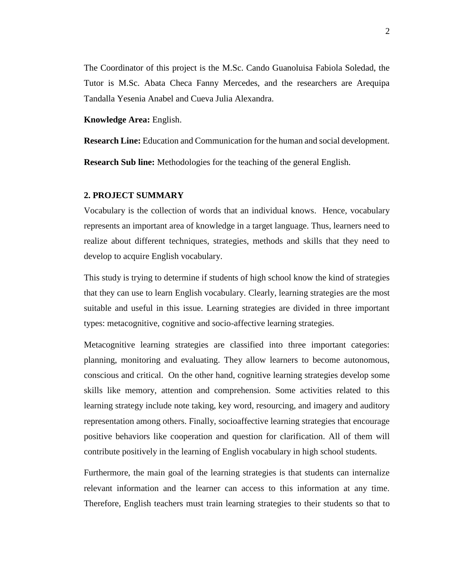The Coordinator of this project is the M.Sc. Cando Guanoluisa Fabiola Soledad, the Tutor is M.Sc. Abata Checa Fanny Mercedes, and the researchers are Arequipa Tandalla Yesenia Anabel and Cueva Julia Alexandra.

**Knowledge Area:** English.

**Research Line:** Education and Communication for the human and social development.

**Research Sub line:** Methodologies for the teaching of the general English.

#### <span id="page-13-0"></span>**2. PROJECT SUMMARY**

Vocabulary is the collection of words that an individual knows. Hence, vocabulary represents an important area of knowledge in a target language. Thus, learners need to realize about different techniques, strategies, methods and skills that they need to develop to acquire English vocabulary.

This study is trying to determine if students of high school know the kind of strategies that they can use to learn English vocabulary. Clearly, learning strategies are the most suitable and useful in this issue. Learning strategies are divided in three important types: metacognitive, cognitive and socio-affective learning strategies.

Metacognitive learning strategies are classified into three important categories: planning, monitoring and evaluating. They allow learners to become autonomous, conscious and critical. On the other hand, cognitive learning strategies develop some skills like memory, attention and comprehension. Some activities related to this learning strategy include note taking, key word, resourcing, and imagery and auditory representation among others. Finally, socioaffective learning strategies that encourage positive behaviors like cooperation and question for clarification. All of them will contribute positively in the learning of English vocabulary in high school students.

Furthermore, the main goal of the learning strategies is that students can internalize relevant information and the learner can access to this information at any time. Therefore, English teachers must train learning strategies to their students so that to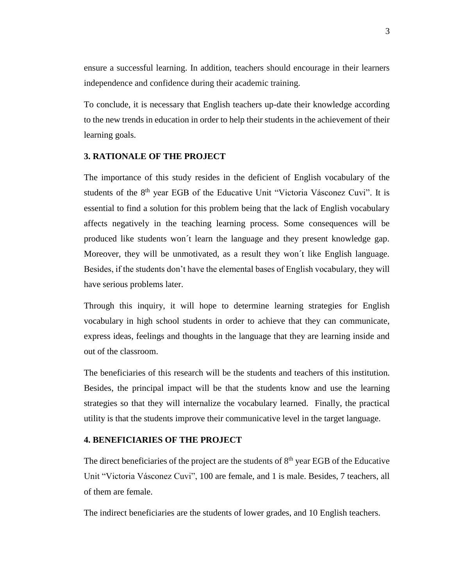ensure a successful learning. In addition, teachers should encourage in their learners independence and confidence during their academic training.

To conclude, it is necessary that English teachers up-date their knowledge according to the new trends in education in order to help their students in the achievement of their learning goals.

#### <span id="page-14-0"></span>**3. RATIONALE OF THE PROJECT**

The importance of this study resides in the deficient of English vocabulary of the students of the 8<sup>th</sup> year EGB of the Educative Unit "Victoria Vásconez Cuvi". It is essential to find a solution for this problem being that the lack of English vocabulary affects negatively in the teaching learning process. Some consequences will be produced like students won´t learn the language and they present knowledge gap. Moreover, they will be unmotivated, as a result they won´t like English language. Besides, if the students don't have the elemental bases of English vocabulary, they will have serious problems later.

Through this inquiry, it will hope to determine learning strategies for English vocabulary in high school students in order to achieve that they can communicate, express ideas, feelings and thoughts in the language that they are learning inside and out of the classroom.

The beneficiaries of this research will be the students and teachers of this institution. Besides, the principal impact will be that the students know and use the learning strategies so that they will internalize the vocabulary learned. Finally, the practical utility is that the students improve their communicative level in the target language.

#### <span id="page-14-1"></span>**4. BENEFICIARIES OF THE PROJECT**

The direct beneficiaries of the project are the students of  $8<sup>th</sup>$  year EGB of the Educative Unit "Victoria Vásconez Cuvi", 100 are female, and 1 is male. Besides, 7 teachers, all of them are female.

The indirect beneficiaries are the students of lower grades, and 10 English teachers.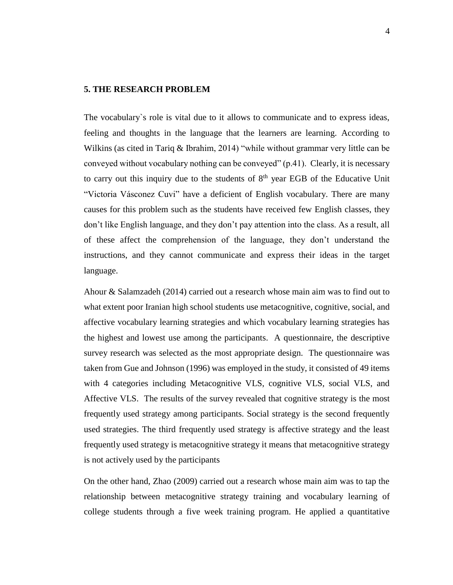#### <span id="page-15-0"></span>**5. THE RESEARCH PROBLEM**

The vocabulary`s role is vital due to it allows to communicate and to express ideas, feeling and thoughts in the language that the learners are learning. According to Wilkins (as cited in Tariq & Ibrahim, 2014) "while without grammar very little can be conveyed without vocabulary nothing can be conveyed" (p.41). Clearly, it is necessary to carry out this inquiry due to the students of  $8<sup>th</sup>$  year EGB of the Educative Unit "Victoria Vásconez Cuvi" have a deficient of English vocabulary. There are many causes for this problem such as the students have received few English classes, they don't like English language, and they don't pay attention into the class. As a result, all of these affect the comprehension of the language, they don't understand the instructions, and they cannot communicate and express their ideas in the target language.

Ahour & Salamzadeh (2014) carried out a research whose main aim was to find out to what extent poor Iranian high school students use metacognitive, cognitive, social, and affective vocabulary learning strategies and which vocabulary learning strategies has the highest and lowest use among the participants. A questionnaire, the descriptive survey research was selected as the most appropriate design. The questionnaire was taken from Gue and Johnson (1996) was employed in the study, it consisted of 49 items with 4 categories including Metacognitive VLS, cognitive VLS, social VLS, and Affective VLS. The results of the survey revealed that cognitive strategy is the most frequently used strategy among participants. Social strategy is the second frequently used strategies. The third frequently used strategy is affective strategy and the least frequently used strategy is metacognitive strategy it means that metacognitive strategy is not actively used by the participants

On the other hand, Zhao (2009) carried out a research whose main aim was to tap the relationship between metacognitive strategy training and vocabulary learning of college students through a five week training program. He applied a quantitative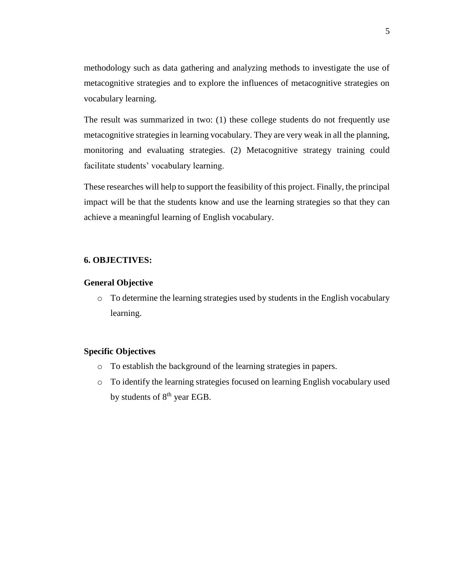methodology such as data gathering and analyzing methods to investigate the use of metacognitive strategies and to explore the influences of metacognitive strategies on vocabulary learning.

The result was summarized in two: (1) these college students do not frequently use metacognitive strategies in learning vocabulary. They are very weak in all the planning, monitoring and evaluating strategies. (2) Metacognitive strategy training could facilitate students' vocabulary learning.

These researches will help to support the feasibility of this project. Finally, the principal impact will be that the students know and use the learning strategies so that they can achieve a meaningful learning of English vocabulary.

#### <span id="page-16-0"></span>**6. OBJECTIVES:**

#### <span id="page-16-1"></span>**General Objective**

o To determine the learning strategies used by students in the English vocabulary learning.

#### <span id="page-16-2"></span>**Specific Objectives**

- o To establish the background of the learning strategies in papers.
- o To identify the learning strategies focused on learning English vocabulary used by students of 8<sup>th</sup> year EGB.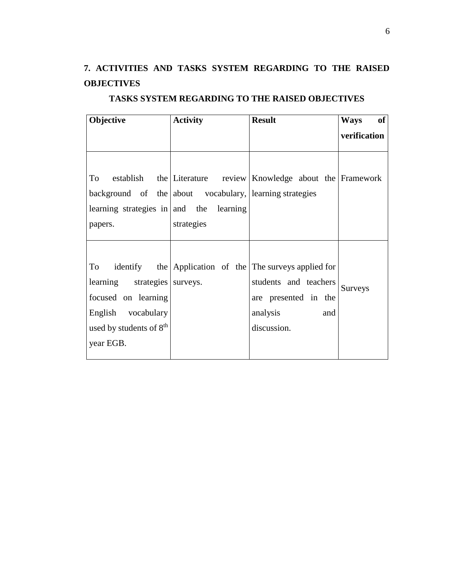# <span id="page-17-0"></span>**7. ACTIVITIES AND TASKS SYSTEM REGARDING TO THE RAISED OBJECTIVES**

| Objective                                               | <b>Activity</b> | <b>Result</b>                                                 | <b>Ways</b><br>of |
|---------------------------------------------------------|-----------------|---------------------------------------------------------------|-------------------|
|                                                         |                 |                                                               | verification      |
|                                                         |                 |                                                               |                   |
|                                                         |                 |                                                               |                   |
| To                                                      |                 | establish the Literature review Knowledge about the Framework |                   |
| background of the about vocabulary, learning strategies |                 |                                                               |                   |
| learning strategies in $ $ and the learning             |                 |                                                               |                   |
| papers.                                                 | strategies      |                                                               |                   |
|                                                         |                 |                                                               |                   |
|                                                         |                 |                                                               |                   |
| To                                                      |                 | identify the Application of the The surveys applied for       |                   |
| learning strategies surveys.                            |                 | students and teachers                                         | <b>Surveys</b>    |
| focused on learning                                     |                 | are presented in the                                          |                   |
| English vocabulary                                      |                 | analysis<br>and                                               |                   |
| used by students of 8 <sup>th</sup>                     |                 | discussion.                                                   |                   |
| year EGB.                                               |                 |                                                               |                   |
|                                                         |                 |                                                               |                   |

# **TASKS SYSTEM REGARDING TO THE RAISED OBJECTIVES**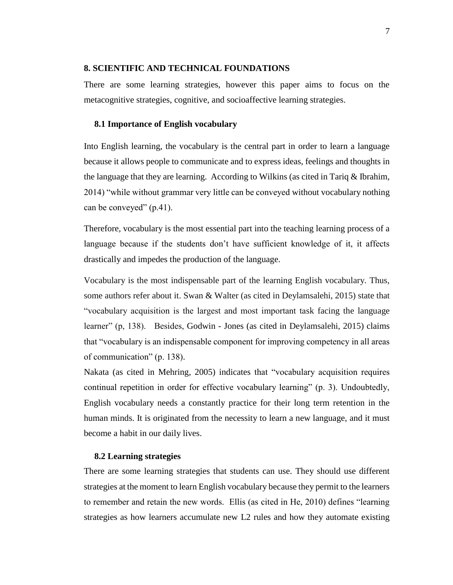#### <span id="page-18-0"></span>**8. SCIENTIFIC AND TECHNICAL FOUNDATIONS**

There are some learning strategies, however this paper aims to focus on the metacognitive strategies, cognitive, and socioaffective learning strategies.

#### <span id="page-18-1"></span>**8.1 Importance of English vocabulary**

Into English learning, the vocabulary is the central part in order to learn a language because it allows people to communicate and to express ideas, feelings and thoughts in the language that they are learning. According to Wilkins (as cited in Tariq & Ibrahim, 2014) "while without grammar very little can be conveyed without vocabulary nothing can be conveyed" (p.41).

Therefore, vocabulary is the most essential part into the teaching learning process of a language because if the students don't have sufficient knowledge of it, it affects drastically and impedes the production of the language.

Vocabulary is the most indispensable part of the learning English vocabulary. Thus, some authors refer about it. Swan & Walter (as cited in Deylamsalehi, 2015) state that "vocabulary acquisition is the largest and most important task facing the language learner" (p, 138). Besides, Godwin - Jones (as cited in Deylamsalehi, 2015) claims that "vocabulary is an indispensable component for improving competency in all areas of communication" (p. 138).

Nakata (as cited in Mehring, 2005) indicates that "vocabulary acquisition requires continual repetition in order for effective vocabulary learning" (p. 3). Undoubtedly, English vocabulary needs a constantly practice for their long term retention in the human minds. It is originated from the necessity to learn a new language, and it must become a habit in our daily lives.

#### <span id="page-18-2"></span>**8.2 Learning strategies**

There are some learning strategies that students can use. They should use different strategies at the moment to learn English vocabulary because they permit to the learners to remember and retain the new words. Ellis (as cited in He, 2010) defines "learning strategies as how learners accumulate new L2 rules and how they automate existing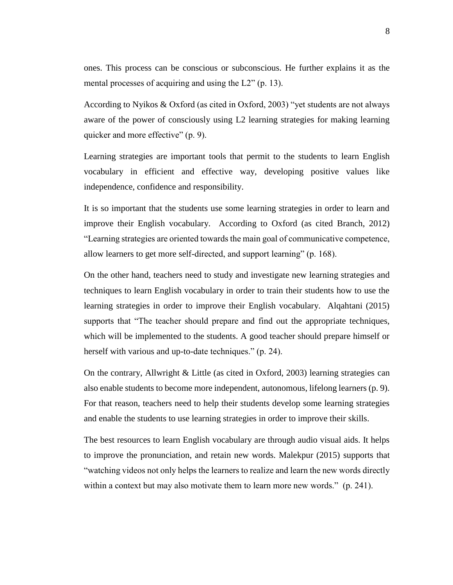ones. This process can be conscious or subconscious. He further explains it as the mental processes of acquiring and using the L2" (p. 13).

According to Nyikos & Oxford (as cited in Oxford, 2003) "yet students are not always aware of the power of consciously using L2 learning strategies for making learning quicker and more effective" (p. 9).

Learning strategies are important tools that permit to the students to learn English vocabulary in efficient and effective way, developing positive values like independence, confidence and responsibility.

It is so important that the students use some learning strategies in order to learn and improve their English vocabulary. According to Oxford (as cited Branch, 2012) "Learning strategies are oriented towards the main goal of communicative competence, allow learners to get more self-directed, and support learning" (p. 168).

On the other hand, teachers need to study and investigate new learning strategies and techniques to learn English vocabulary in order to train their students how to use the learning strategies in order to improve their English vocabulary. Alqahtani (2015) supports that "The teacher should prepare and find out the appropriate techniques, which will be implemented to the students. A good teacher should prepare himself or herself with various and up-to-date techniques." (p. 24).

On the contrary, Allwright & Little (as cited in Oxford, 2003) learning strategies can also enable students to become more independent, autonomous, lifelong learners (p. 9). For that reason, teachers need to help their students develop some learning strategies and enable the students to use learning strategies in order to improve their skills.

The best resources to learn English vocabulary are through audio visual aids. It helps to improve the pronunciation, and retain new words. Malekpur (2015) supports that "watching videos not only helps the learners to realize and learn the new words directly within a context but may also motivate them to learn more new words." (p. 241).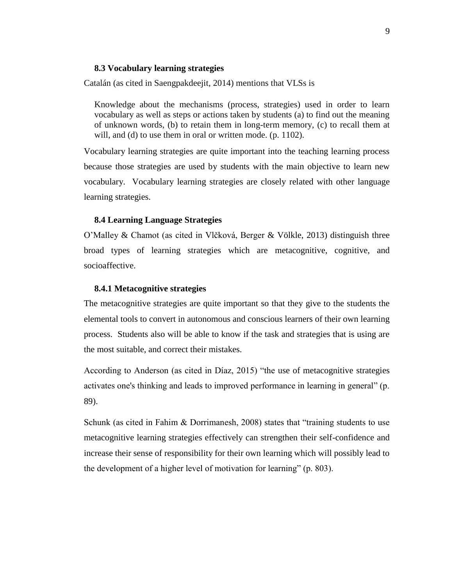#### <span id="page-20-0"></span>**8.3 Vocabulary learning strategies**

Catalán (as cited in Saengpakdeejit, 2014) mentions that VLSs is

Knowledge about the mechanisms (process, strategies) used in order to learn vocabulary as well as steps or actions taken by students (a) to find out the meaning of unknown words, (b) to retain them in long-term memory, (c) to recall them at will, and (d) to use them in oral or written mode. (p. 1102).

Vocabulary learning strategies are quite important into the teaching learning process because those strategies are used by students with the main objective to learn new vocabulary. Vocabulary learning strategies are closely related with other language learning strategies.

#### <span id="page-20-1"></span>**8.4 Learning Language Strategies**

O'Malley & Chamot (as cited in Vlčková, Berger & Völkle, 2013) distinguish three broad types of learning strategies which are metacognitive, cognitive, and socioaffective.

#### <span id="page-20-2"></span>**8.4.1 Metacognitive strategies**

The metacognitive strategies are quite important so that they give to the students the elemental tools to convert in autonomous and conscious learners of their own learning process. Students also will be able to know if the task and strategies that is using are the most suitable, and correct their mistakes.

According to Anderson (as cited in Díaz, 2015) "the use of metacognitive strategies activates one's thinking and leads to improved performance in learning in general" (p. 89).

Schunk (as cited in Fahim & Dorrimanesh, 2008) states that "training students to use metacognitive learning strategies effectively can strengthen their self-confidence and increase their sense of responsibility for their own learning which will possibly lead to the development of a higher level of motivation for learning" (p. 803).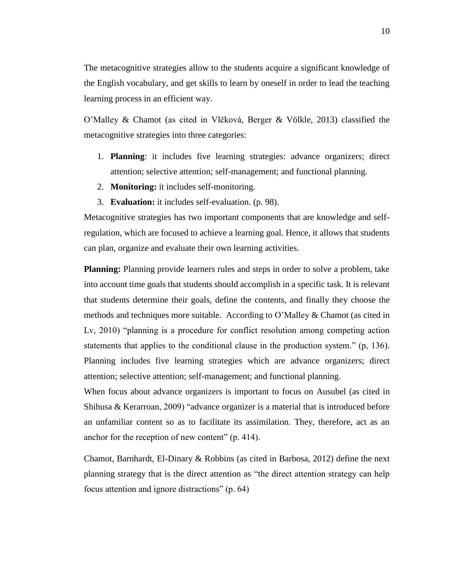The metacognitive strategies allow to the students acquire a significant knowledge of the English vocabulary, and get skills to learn by oneself in order to lead the teaching learning process in an efficient way.

O'Malley & Chamot (as cited in Vlčková, Berger & Völkle, 2013) classified the metacognitive strategies into three categories:

- 1. **Planning**: it includes five learning strategies: advance organizers; direct attention; selective attention; self-management; and functional planning.
- 2. **Monitoring:** it includes self-monitoring.
- 3. **Evaluation:** it includes self-evaluation. (p. 98).

Metacognitive strategies has two important components that are knowledge and selfregulation, which are focused to achieve a learning goal. Hence, it allows that students can plan, organize and evaluate their own learning activities.

**Planning:** Planning provide learners rules and steps in order to solve a problem, take into account time goals that students should accomplish in a specific task. It is relevant that students determine their goals, define the contents, and finally they choose the methods and techniques more suitable. According to O'Malley & Chamot (as cited in Lv, 2010) "planning is a procedure for conflict resolution among competing action statements that applies to the conditional clause in the production system." (p, 136). Planning includes five learning strategies which are advance organizers; direct attention; selective attention; self-management; and functional planning.

When focus about advance organizers is important to focus on Ausubel (as cited in Shihusa & Kerarroan, 2009) "advance organizer is a material that is introduced before an unfamiliar content so as to facilitate its assimilation. They, therefore, act as an anchor for the reception of new content" (p. 414).

Chamot, Barnhardt, El-Dinary & Robbins (as cited in Barbosa, 2012) define the next planning strategy that is the direct attention as "the direct attention strategy can help focus attention and ignore distractions" (p. 64)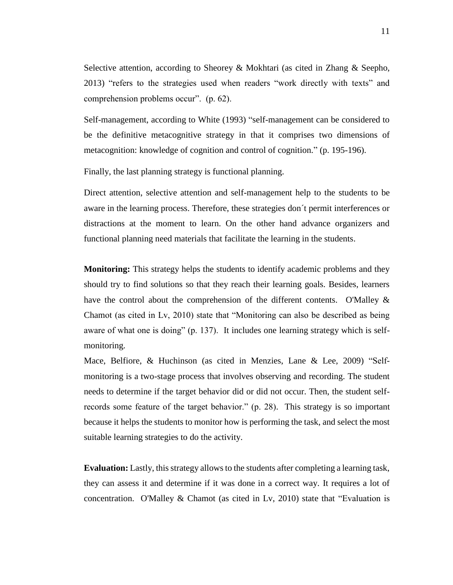Selective attention, according to Sheorey & Mokhtari (as cited in Zhang & Seepho, 2013) "refers to the strategies used when readers "work directly with texts" and comprehension problems occur". (p. 62).

Self-management, according to White (1993) "self-management can be considered to be the definitive metacognitive strategy in that it comprises two dimensions of metacognition: knowledge of cognition and control of cognition." (p. 195-196).

Finally, the last planning strategy is functional planning.

Direct attention, selective attention and self-management help to the students to be aware in the learning process. Therefore, these strategies don´t permit interferences or distractions at the moment to learn. On the other hand advance organizers and functional planning need materials that facilitate the learning in the students.

**Monitoring:** This strategy helps the students to identify academic problems and they should try to find solutions so that they reach their learning goals. Besides, learners have the control about the comprehension of the different contents.O'Malley & Chamot (as cited in Lv, 2010) state that "Monitoring can also be described as being aware of what one is doing" (p. 137). It includes one learning strategy which is selfmonitoring.

Mace, Belfiore, & Huchinson (as cited in Menzies, Lane & Lee, 2009) "Selfmonitoring is a two-stage process that involves observing and recording. The student needs to determine if the target behavior did or did not occur. Then, the student selfrecords some feature of the target behavior." (p. 28). This strategy is so important because it helps the students to monitor how is performing the task, and select the most suitable learning strategies to do the activity.

**Evaluation:** Lastly, this strategy allows to the students after completing a learning task, they can assess it and determine if it was done in a correct way. It requires a lot of concentration. O'Malley & Chamot (as cited in Lv, 2010) state that "Evaluation is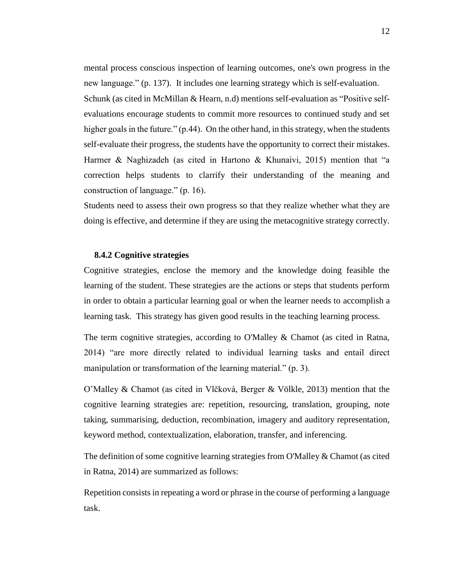mental process conscious inspection of learning outcomes, one's own progress in the new language." (p. 137). It includes one learning strategy which is self-evaluation. Schunk (as cited in McMillan & Hearn, n.d) mentions self-evaluation as "Positive selfevaluations encourage students to commit more resources to continued study and set higher goals in the future." (p.44). On the other hand, in this strategy, when the students self-evaluate their progress, the students have the opportunity to correct their mistakes. Harmer & Naghizadeh (as cited in Hartono & Khunaivi, 2015) mention that "a correction helps students to clarrify their understanding of the meaning and construction of language." (p. 16).

Students need to assess their own progress so that they realize whether what they are doing is effective, and determine if they are using the metacognitive strategy correctly.

#### <span id="page-23-0"></span>**8.4.2 Cognitive strategies**

Cognitive strategies, enclose the memory and the knowledge doing feasible the learning of the student. These strategies are the actions or steps that students perform in order to obtain a particular learning goal or when the learner needs to accomplish a learning task. This strategy has given good results in the teaching learning process.

The term cognitive strategies, according to O'Malley & Chamot (as cited in Ratna, 2014) "are more directly related to individual learning tasks and entail direct manipulation or transformation of the learning material." (p. 3).

O'Malley & Chamot (as cited in Vlčková, Berger & Völkle, 2013) mention that the cognitive learning strategies are: repetition, resourcing, translation, grouping, note taking, summarising, deduction, recombination, imagery and auditory representation, keyword method, contextualization, elaboration, transfer, and inferencing.

The definition of some cognitive learning strategies from O'Malley & Chamot (as cited in Ratna, 2014) are summarized as follows:

Repetition consists in repeating a word or phrase in the course of performing a language task.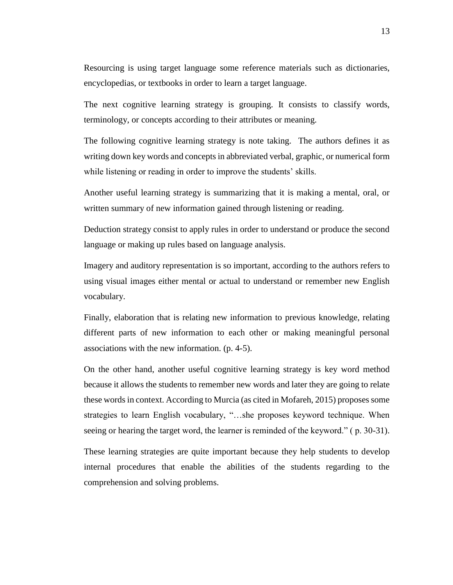Resourcing is using target language some reference materials such as dictionaries, encyclopedias, or textbooks in order to learn a target language.

The next cognitive learning strategy is grouping. It consists to classify words, terminology, or concepts according to their attributes or meaning.

The following cognitive learning strategy is note taking. The authors defines it as writing down key words and concepts in abbreviated verbal, graphic, or numerical form while listening or reading in order to improve the students' skills.

Another useful learning strategy is summarizing that it is making a mental, oral, or written summary of new information gained through listening or reading.

Deduction strategy consist to apply rules in order to understand or produce the second language or making up rules based on language analysis.

Imagery and auditory representation is so important, according to the authors refers to using visual images either mental or actual to understand or remember new English vocabulary.

Finally, elaboration that is relating new information to previous knowledge, relating different parts of new information to each other or making meaningful personal associations with the new information. (p. 4-5).

On the other hand, another useful cognitive learning strategy is key word method because it allows the students to remember new words and later they are going to relate these words in context. According to Murcia (as cited in Mofareh, 2015) proposes some strategies to learn English vocabulary, "…she proposes keyword technique. When seeing or hearing the target word, the learner is reminded of the keyword." ( p. 30-31).

These learning strategies are quite important because they help students to develop internal procedures that enable the abilities of the students regarding to the comprehension and solving problems.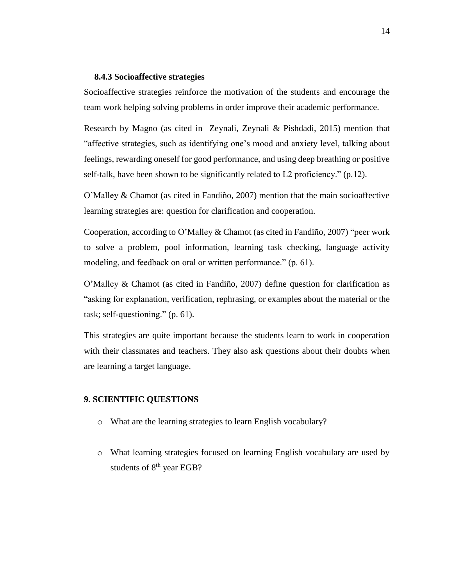#### <span id="page-25-0"></span>**8.4.3 Socioaffective strategies**

Socioaffective strategies reinforce the motivation of the students and encourage the team work helping solving problems in order improve their academic performance.

Research by Magno (as cited in Zeynali, Zeynali & Pishdadi, 2015) mention that "affective strategies, such as identifying one's mood and anxiety level, talking about feelings, rewarding oneself for good performance, and using deep breathing or positive self-talk, have been shown to be significantly related to L2 proficiency." (p.12).

O'Malley & Chamot (as cited in Fandiño, 2007) mention that the main socioaffective learning strategies are: question for clarification and cooperation.

Cooperation, according to O'Malley & Chamot (as cited in Fandiño, 2007) "peer work to solve a problem, pool information, learning task checking, language activity modeling, and feedback on oral or written performance." (p. 61).

O'Malley & Chamot (as cited in Fandiño, 2007) define question for clarification as "asking for explanation, verification, rephrasing, or examples about the material or the task; self-questioning." (p. 61).

This strategies are quite important because the students learn to work in cooperation with their classmates and teachers. They also ask questions about their doubts when are learning a target language.

#### <span id="page-25-1"></span>**9. SCIENTIFIC QUESTIONS**

- o What are the learning strategies to learn English vocabulary?
- o What learning strategies focused on learning English vocabulary are used by students of 8<sup>th</sup> year EGB?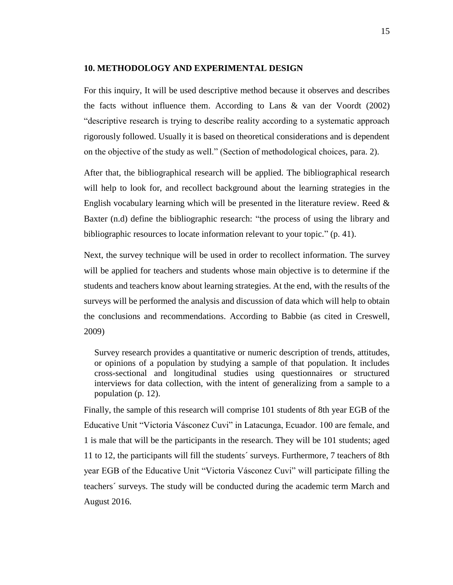#### <span id="page-26-0"></span>**10. METHODOLOGY AND EXPERIMENTAL DESIGN**

For this inquiry, It will be used descriptive method because it observes and describes the facts without influence them. According to Lans & van der Voordt (2002) "descriptive research is trying to describe reality according to a systematic approach rigorously followed. Usually it is based on theoretical considerations and is dependent on the objective of the study as well." (Section of methodological choices, para. 2).

After that, the bibliographical research will be applied. The bibliographical research will help to look for, and recollect background about the learning strategies in the English vocabulary learning which will be presented in the literature review. Reed  $\&$ Baxter (n.d) define the bibliographic research: "the process of using the library and bibliographic resources to locate information relevant to your topic." (p. 41).

Next, the survey technique will be used in order to recollect information. The survey will be applied for teachers and students whose main objective is to determine if the students and teachers know about learning strategies. At the end, with the results of the surveys will be performed the analysis and discussion of data which will help to obtain the conclusions and recommendations. According to Babbie (as cited in Creswell, 2009)

Survey research provides a quantitative or numeric description of trends, attitudes, or opinions of a population by studying a sample of that population. It includes cross-sectional and longitudinal studies using questionnaires or structured interviews for data collection, with the intent of generalizing from a sample to a population (p. 12).

Finally, the sample of this research will comprise 101 students of 8th year EGB of the Educative Unit "Victoria Vásconez Cuvi" in Latacunga, Ecuador. 100 are female, and 1 is male that will be the participants in the research. They will be 101 students; aged 11 to 12, the participants will fill the students´ surveys. Furthermore, 7 teachers of 8th year EGB of the Educative Unit "Victoria Vásconez Cuvi" will participate filling the teachers´ surveys. The study will be conducted during the academic term March and August 2016.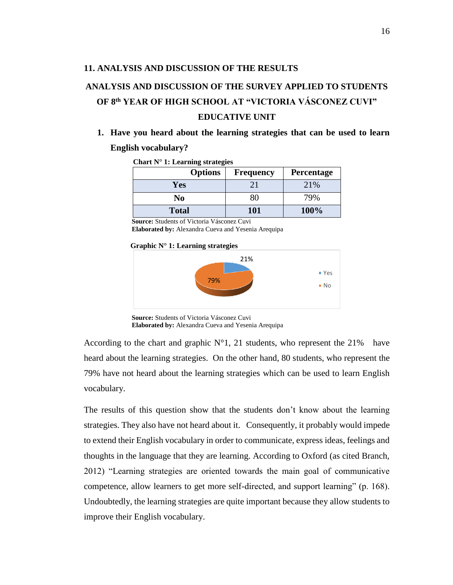#### <span id="page-27-0"></span>**11. ANALYSIS AND DISCUSSION OF THE RESULTS**

# <span id="page-27-1"></span>**ANALYSIS AND DISCUSSION OF THE SURVEY APPLIED TO STUDENTS OF 8th YEAR OF HIGH SCHOOL AT "VICTORIA VÁSCONEZ CUVI" EDUCATIVE UNIT**

# **1. Have you heard about the learning strategies that can be used to learn English vocabulary?**

| $C$ hart iv $T$ . Learning strategies |                  |            |
|---------------------------------------|------------------|------------|
| <b>Options</b>                        | <b>Frequency</b> | Percentage |
| Yes                                   | 21               | 21%        |
| No                                    | 80               | 79%        |
| <b>Total</b>                          | 101              | 100%       |

<span id="page-27-2"></span>**Chart N° 1: Learning strategies**

 **Source:** Students of Victoria Vásconez Cuvi

 **Elaborated by:** Alexandra Cueva and Yesenia Arequipa

 **Graphic N° 1: Learning strategies**



**Source:** Students of Victoria Vásconez Cuvi

According to the chart and graphic  $N^{\circ}1$ , 21 students, who represent the 21% have heard about the learning strategies. On the other hand, 80 students, who represent the 79% have not heard about the learning strategies which can be used to learn English vocabulary.

The results of this question show that the students don't know about the learning strategies. They also have not heard about it. Consequently, it probably would impede to extend their English vocabulary in order to communicate, express ideas, feelings and thoughts in the language that they are learning. According to Oxford (as cited Branch, 2012) "Learning strategies are oriented towards the main goal of communicative competence, allow learners to get more self-directed, and support learning" (p. 168). Undoubtedly, the learning strategies are quite important because they allow students to improve their English vocabulary.

**Elaborated by:** Alexandra Cueva and Yesenia Arequipa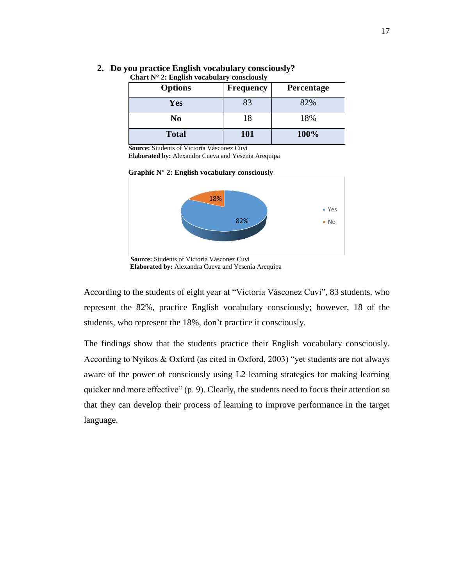| <b>Options</b> | <b>Frequency</b> | Percentage |
|----------------|------------------|------------|
| Yes            | 83               | 82%        |
| No             | 18               | 18%        |
| <b>Total</b>   | 101              | 100%       |

## **2. Do you practice English vocabulary consciously?**

#### <span id="page-28-0"></span>**Chart N° 2: English vocabulary consciously**

 **Source:** Students of Victoria Vásconez Cuvi

 **Elaborated by:** Alexandra Cueva and Yesenia Arequipa

 **Graphic N° 2: English vocabulary consciously** 



 **Source:** Students of Victoria Vásconez Cuvi  **Elaborated by:** Alexandra Cueva and Yesenia Arequipa

According to the students of eight year at "Victoria Vásconez Cuvi", 83 students, who represent the 82%, practice English vocabulary consciously; however, 18 of the students, who represent the 18%, don't practice it consciously.

The findings show that the students practice their English vocabulary consciously. According to Nyikos & Oxford (as cited in Oxford, 2003) "yet students are not always aware of the power of consciously using L2 learning strategies for making learning quicker and more effective" (p. 9). Clearly, the students need to focus their attention so that they can develop their process of learning to improve performance in the target language.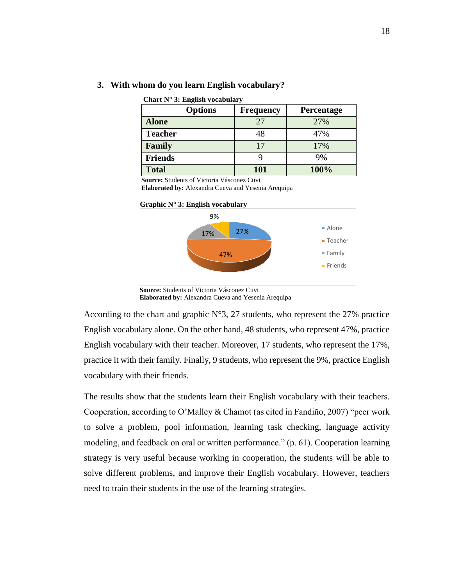<span id="page-29-0"></span>

| Chart $N^{\circ}$ 3: English vocabulary |                  |            |  |
|-----------------------------------------|------------------|------------|--|
| <b>Options</b>                          | <b>Frequency</b> | Percentage |  |
| <b>Alone</b>                            | 27               | 27%        |  |
| <b>Teacher</b>                          | 48               | 47%        |  |
| Family                                  | 17               | 17%        |  |
| <b>Friends</b>                          |                  | 9%         |  |
| <b>Total</b>                            | 101              | 100%       |  |

#### **3. With whom do you learn English vocabulary?**

 **Source:** Students of Victoria Vásconez Cuvi

 **Elaborated by:** Alexandra Cueva and Yesenia Arequipa





 **Source:** Students of Victoria Vásconez Cuvi  **Elaborated by:** Alexandra Cueva and Yesenia Arequipa

According to the chart and graphic  $N^{\circ}3$ , 27 students, who represent the 27% practice English vocabulary alone. On the other hand, 48 students, who represent 47%, practice English vocabulary with their teacher. Moreover, 17 students, who represent the 17%, practice it with their family. Finally, 9 students, who represent the 9%, practice English vocabulary with their friends.

The results show that the students learn their English vocabulary with their teachers. Cooperation, according to O'Malley & Chamot (as cited in Fandiño, 2007) "peer work to solve a problem, pool information, learning task checking, language activity modeling, and feedback on oral or written performance." (p. 61). Cooperation learning strategy is very useful because working in cooperation, the students will be able to solve different problems, and improve their English vocabulary. However, teachers need to train their students in the use of the learning strategies.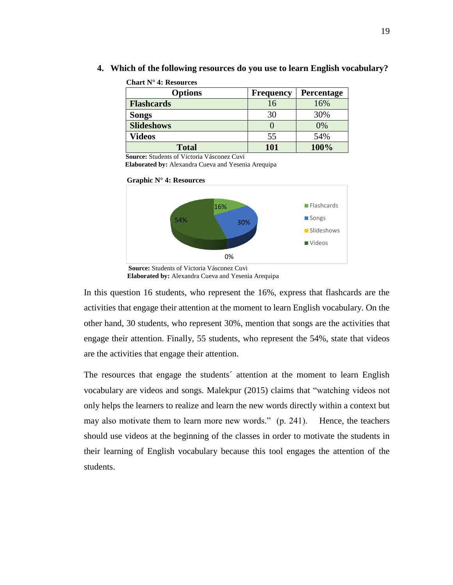| <u>.</u>          |                  |            |
|-------------------|------------------|------------|
| <b>Options</b>    | <b>Frequency</b> | Percentage |
| <b>Flashcards</b> | 16               | 16%        |
| <b>Songs</b>      | 30               | 30%        |
| <b>Slideshows</b> |                  | 0%         |
| Videos            | 55               | 54%        |
| <b>Total</b>      | 101              | 100%       |

**4. Which of the following resources do you use to learn English vocabulary?**

<span id="page-30-0"></span>**Chart N° 4: Resources**

 **Source:** Students of Victoria Vásconez Cuvi

 **Elaborated by:** Alexandra Cueva and Yesenia Arequipa



**Graphic N° 4: Resources**

In this question 16 students, who represent the 16%, express that flashcards are the activities that engage their attention at the moment to learn English vocabulary. On the other hand, 30 students, who represent 30%, mention that songs are the activities that engage their attention. Finally, 55 students, who represent the 54%, state that videos are the activities that engage their attention.

The resources that engage the students´ attention at the moment to learn English vocabulary are videos and songs. Malekpur (2015) claims that "watching videos not only helps the learners to realize and learn the new words directly within a context but may also motivate them to learn more new words." (p. 241). Hence, the teachers should use videos at the beginning of the classes in order to motivate the students in their learning of English vocabulary because this tool engages the attention of the students.

**Source:** Students of Victoria Vásconez Cuvi  **Elaborated by:** Alexandra Cueva and Yesenia Arequipa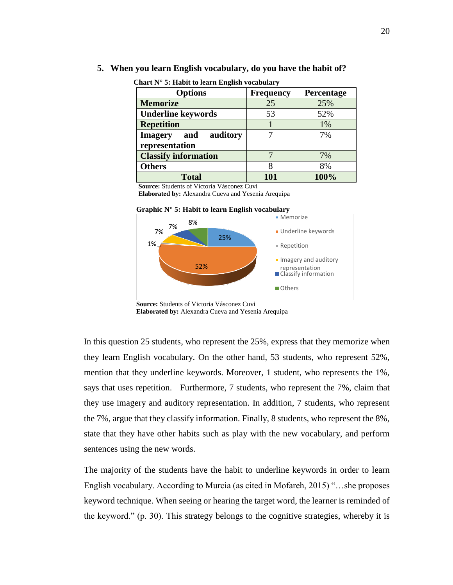#### **5. When you learn English vocabulary, do you have the habit of?**

| <b>Options</b>                                      | <b>Frequency</b> | Percentage |
|-----------------------------------------------------|------------------|------------|
| <b>Memorize</b>                                     | 25               | 25%        |
| <b>Underline keywords</b>                           | 53               | 52%        |
| <b>Repetition</b>                                   |                  | 1%         |
| auditory<br><b>Imagery</b><br>and<br>representation |                  | 7%         |
| <b>Classify information</b>                         |                  | 7%         |
| <b>Others</b>                                       |                  | 8%         |
| <b>Total</b>                                        |                  | 100%       |

<span id="page-31-0"></span>**Chart N° 5: Habit to learn English vocabulary**

 **Source:** Students of Victoria Vásconez Cuvi

 **Elaborated by:** Alexandra Cueva and Yesenia Arequipa



**Graphic N° 5: Habit to learn English vocabulary**

In this question 25 students, who represent the 25%, express that they memorize when they learn English vocabulary. On the other hand, 53 students, who represent 52%, mention that they underline keywords. Moreover, 1 student, who represents the 1%, says that uses repetition. Furthermore, 7 students, who represent the 7%, claim that they use imagery and auditory representation. In addition, 7 students, who represent the 7%, argue that they classify information. Finally, 8 students, who represent the 8%, state that they have other habits such as play with the new vocabulary, and perform sentences using the new words.

The majority of the students have the habit to underline keywords in order to learn English vocabulary. According to Murcia (as cited in Mofareh, 2015) "…she proposes keyword technique. When seeing or hearing the target word, the learner is reminded of the keyword." (p. 30). This strategy belongs to the cognitive strategies, whereby it is

**Source:** Students of Victoria Vásconez Cuvi **Elaborated by:** Alexandra Cueva and Yesenia Arequipa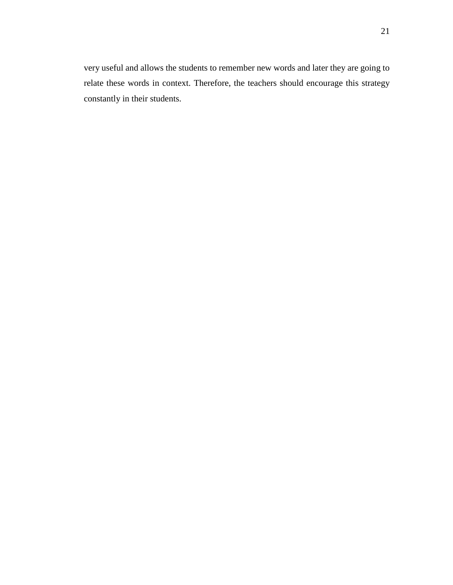very useful and allows the students to remember new words and later they are going to relate these words in context. Therefore, the teachers should encourage this strategy constantly in their students.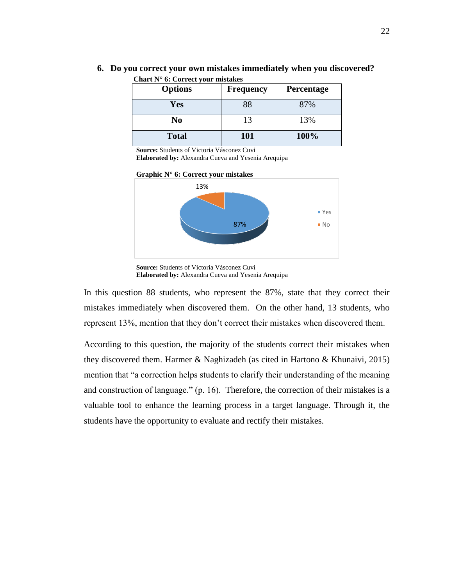<span id="page-33-0"></span>

| <b>Options</b> | <b>Frequency</b> | Percentage |
|----------------|------------------|------------|
| Yes            | 88               | 87%        |
| No             | 13               | 13%        |
| <b>Total</b>   | 101              | 100%       |

**6. Do you correct your own mistakes immediately when you discovered? Chart N° 6: Correct your mistakes**

**Source:** Students of Victoria Vásconez Cuvi

**Elaborated by:** Alexandra Cueva and Yesenia Arequipa





**Source:** Students of Victoria Vásconez Cuvi **Elaborated by:** Alexandra Cueva and Yesenia Arequipa

In this question 88 students, who represent the 87%, state that they correct their mistakes immediately when discovered them. On the other hand, 13 students, who represent 13%, mention that they don't correct their mistakes when discovered them.

According to this question, the majority of the students correct their mistakes when they discovered them. Harmer & Naghizadeh (as cited in Hartono & Khunaivi, 2015) mention that "a correction helps students to clarify their understanding of the meaning and construction of language." (p. 16). Therefore, the correction of their mistakes is a valuable tool to enhance the learning process in a target language. Through it, the students have the opportunity to evaluate and rectify their mistakes.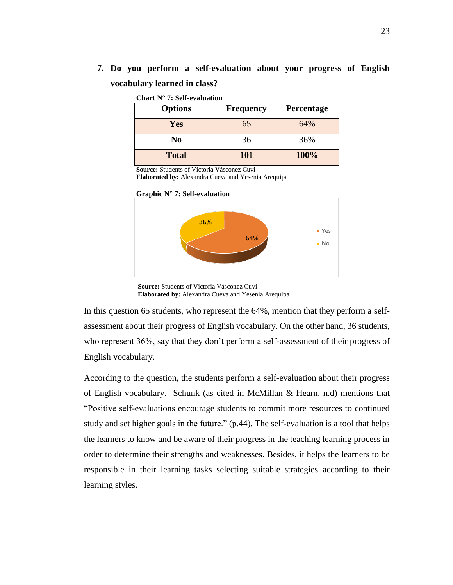**7. Do you perform a self-evaluation about your progress of English vocabulary learned in class?**

| <b>Options</b> | <b>Frequency</b> | Percentage |
|----------------|------------------|------------|
| Yes            | 65               | 64%        |
| No             | 36               | 36%        |
| <b>Total</b>   | 101              | 100%       |

#### <span id="page-34-0"></span>**Chart N° 7: Self-evaluation**

**Source:** Students of Victoria Vásconez Cuvi

**Elaborated by:** Alexandra Cueva and Yesenia Arequipa





**Source:** Students of Victoria Vásconez Cuvi **Elaborated by:** Alexandra Cueva and Yesenia Arequipa

In this question 65 students, who represent the 64%, mention that they perform a selfassessment about their progress of English vocabulary. On the other hand, 36 students, who represent 36%, say that they don't perform a self-assessment of their progress of English vocabulary.

According to the question, the students perform a self-evaluation about their progress of English vocabulary. Schunk (as cited in McMillan & Hearn, n.d) mentions that "Positive self-evaluations encourage students to commit more resources to continued study and set higher goals in the future." (p.44). The self-evaluation is a tool that helps the learners to know and be aware of their progress in the teaching learning process in order to determine their strengths and weaknesses. Besides, it helps the learners to be responsible in their learning tasks selecting suitable strategies according to their learning styles.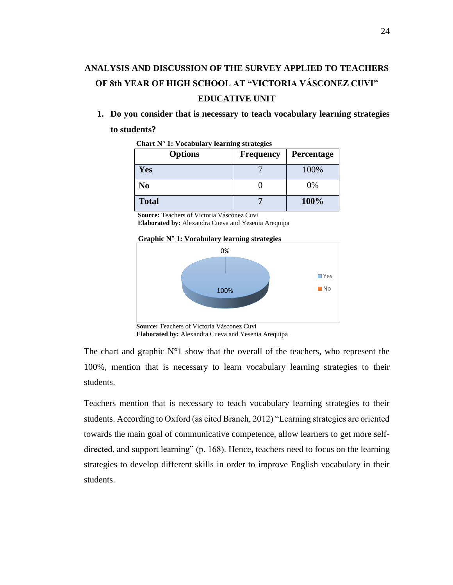# <span id="page-35-0"></span>**ANALYSIS AND DISCUSSION OF THE SURVEY APPLIED TO TEACHERS OF 8th YEAR OF HIGH SCHOOL AT "VICTORIA VÁSCONEZ CUVI" EDUCATIVE UNIT**

**1. Do you consider that is necessary to teach vocabulary learning strategies to students?** 

| <b>Options</b> | <b>Frequency</b> | Percentage |
|----------------|------------------|------------|
| Yes            |                  | 100%       |
| N <sub>0</sub> |                  | 0%         |
| <b>Total</b>   |                  | 100%       |

<span id="page-35-1"></span>**Chart N° 1: Vocabulary learning strategies**

**Source:** Teachers of Victoria Vásconez Cuvi **Elaborated by:** Alexandra Cueva and Yesenia Arequipa



**Source:** Teachers of Victoria Vásconez Cuvi **Elaborated by:** Alexandra Cueva and Yesenia Arequipa

The chart and graphic  $N^{\circ}1$  show that the overall of the teachers, who represent the 100%, mention that is necessary to learn vocabulary learning strategies to their students.

Teachers mention that is necessary to teach vocabulary learning strategies to their students. According to Oxford (as cited Branch, 2012) "Learning strategies are oriented towards the main goal of communicative competence, allow learners to get more selfdirected, and support learning" (p. 168). Hence, teachers need to focus on the learning strategies to develop different skills in order to improve English vocabulary in their students.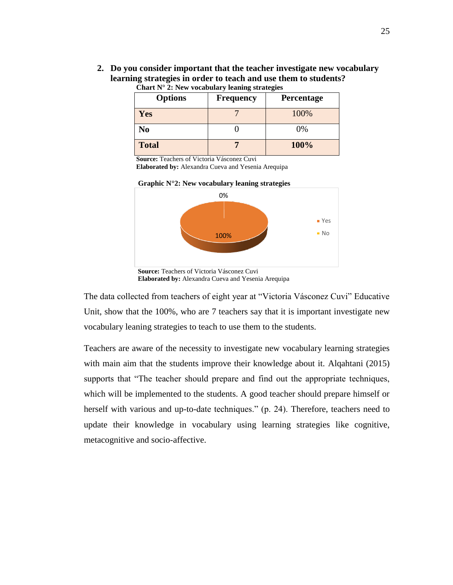**2. Do you consider important that the teacher investigate new vocabulary learning strategies in order to teach and use them to students? Chart N° 2: New vocabulary leaning strategies**

<span id="page-36-0"></span>

| <b>Options</b> | <b>Frequency</b> | Percentage |
|----------------|------------------|------------|
| <b>Yes</b>     |                  | 100%       |
| No             |                  | 0%         |
| <b>Total</b>   |                  | 100%       |

**Source:** Teachers of Victoria Vásconez Cuvi

**Elaborated by:** Alexandra Cueva and Yesenia Arequipa

**Graphic N°2: New vocabulary leaning strategies**



**Elaborated by:** Alexandra Cueva and Yesenia Arequipa

The data collected from teachers of eight year at "Victoria Vásconez Cuvi" Educative Unit, show that the 100%, who are 7 teachers say that it is important investigate new vocabulary leaning strategies to teach to use them to the students.

Teachers are aware of the necessity to investigate new vocabulary learning strategies with main aim that the students improve their knowledge about it. Alqahtani (2015) supports that "The teacher should prepare and find out the appropriate techniques, which will be implemented to the students. A good teacher should prepare himself or herself with various and up-to-date techniques." (p. 24). Therefore, teachers need to update their knowledge in vocabulary using learning strategies like cognitive, metacognitive and socio-affective.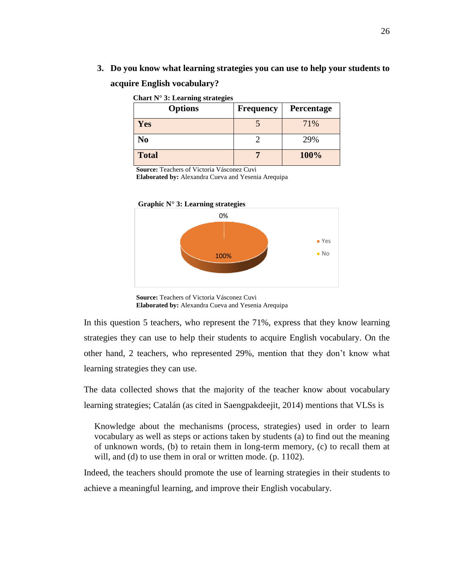**3. Do you know what learning strategies you can use to help your students to acquire English vocabulary?**

<span id="page-37-0"></span>

| <b>Options</b> | <b>Frequency</b> | Percentage |
|----------------|------------------|------------|
| Yes            |                  | 71%        |
| No             |                  | 29%        |
| <b>Total</b>   |                  | 100%       |

**Source:** Teachers of Victoria Vásconez Cuvi

**Elaborated by:** Alexandra Cueva and Yesenia Arequipa



**Source:** Teachers of Victoria Vásconez Cuvi **Elaborated by:** Alexandra Cueva and Yesenia Arequipa

In this question 5 teachers, who represent the 71%, express that they know learning strategies they can use to help their students to acquire English vocabulary. On the other hand, 2 teachers, who represented 29%, mention that they don't know what learning strategies they can use.

The data collected shows that the majority of the teacher know about vocabulary learning strategies; Catalán (as cited in Saengpakdeejit, 2014) mentions that VLSs is

Knowledge about the mechanisms (process, strategies) used in order to learn vocabulary as well as steps or actions taken by students (a) to find out the meaning of unknown words, (b) to retain them in long-term memory, (c) to recall them at will, and (d) to use them in oral or written mode. (p. 1102).

Indeed, the teachers should promote the use of learning strategies in their students to achieve a meaningful learning, and improve their English vocabulary.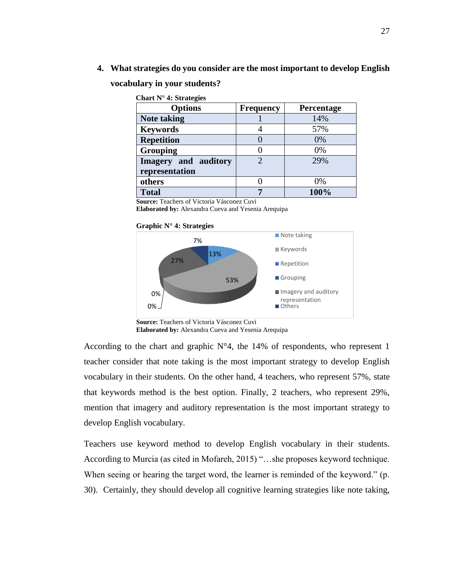**4. What strategies do you consider are the most important to develop English** 

#### <span id="page-38-0"></span>**vocabulary in your students?**

| Chart $N^{\circ}$ 4: Strategies |                  |                   |
|---------------------------------|------------------|-------------------|
| <b>Options</b>                  | <b>Frequency</b> | <b>Percentage</b> |
| <b>Note taking</b>              |                  | 14%               |
| <b>Keywords</b>                 |                  | 57%               |
| <b>Repetition</b>               |                  | 0%                |
| <b>Grouping</b>                 |                  | 0%                |
| Imagery and auditory            | 2                | 29%               |
| representation                  |                  |                   |
| others                          |                  | 0%                |
| <b>Total</b>                    | 7                | 100%              |

**Source:** Teachers of Victoria Vásconez Cuvi

**Elaborated by:** Alexandra Cueva and Yesenia Arequipa

#### **Graphic N° 4: Strategies**



**Source:** Teachers of Victoria Vásconez Cuvi **Elaborated by:** Alexandra Cueva and Yesenia Arequipa

According to the chart and graphic N°4, the 14% of respondents, who represent 1 teacher consider that note taking is the most important strategy to develop English vocabulary in their students. On the other hand, 4 teachers, who represent 57%, state that keywords method is the best option. Finally, 2 teachers, who represent 29%, mention that imagery and auditory representation is the most important strategy to develop English vocabulary.

Teachers use keyword method to develop English vocabulary in their students. According to Murcia (as cited in Mofareh, 2015) "…she proposes keyword technique. When seeing or hearing the target word, the learner is reminded of the keyword." (p. 30). Certainly, they should develop all cognitive learning strategies like note taking,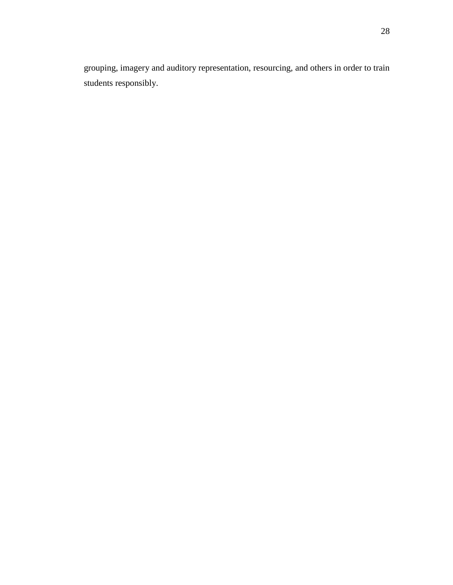grouping, imagery and auditory representation, resourcing, and others in order to train students responsibly.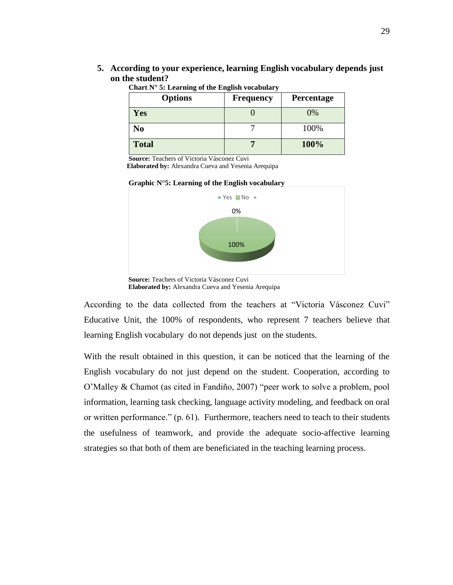**5. According to your experience, learning English vocabulary depends just on the student?** 

| <b>Options</b> | <b>Frequency</b> | Percentage |
|----------------|------------------|------------|
| Yes            |                  | 0%         |
| N <sub>0</sub> |                  | 100%       |
| <b>Total</b>   |                  | 100%       |

<span id="page-40-0"></span>**Chart N° 5: Learning of the English vocabulary**

 **Source:** Teachers of Victoria Vásconez Cuvi

 **Elaborated by:** Alexandra Cueva and Yesenia Arequipa





**Source:** Teachers of Victoria Vásconez Cuvi  **Elaborated by:** Alexandra Cueva and Yesenia Arequipa

According to the data collected from the teachers at "Victoria Vásconez Cuvi" Educative Unit, the 100% of respondents, who represent 7 teachers believe that learning English vocabulary do not depends just on the students.

With the result obtained in this question, it can be noticed that the learning of the English vocabulary do not just depend on the student. Cooperation, according to O'Malley & Chamot (as cited in Fandiño, 2007) "peer work to solve a problem, pool information, learning task checking, language activity modeling, and feedback on oral or written performance." (p. 61). Furthermore, teachers need to teach to their students the usefulness of teamwork, and provide the adequate socio-affective learning strategies so that both of them are beneficiated in the teaching learning process.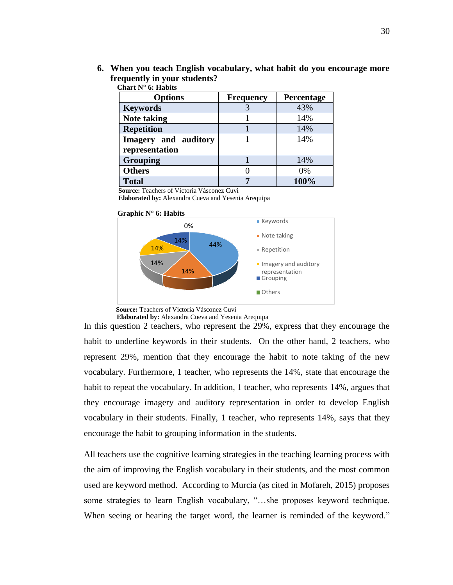**6. When you teach English vocabulary, what habit do you encourage more frequently in your students?**

| <b>Options</b>              | <b>Frequency</b> | Percentage |
|-----------------------------|------------------|------------|
| <b>Keywords</b>             |                  | 43%        |
| <b>Note taking</b>          |                  | 14%        |
| <b>Repetition</b>           |                  | 14%        |
| <b>Imagery</b> and auditory |                  | 14%        |
| representation              |                  |            |
| <b>Grouping</b>             |                  | 14%        |
| <b>Others</b>               |                  | 0%         |
| <b>Total</b>                |                  | 100%       |

<span id="page-41-0"></span>**Chart N° 6: Habits**

 **Source:** Teachers of Victoria Vásconez Cuvi

 **Elaborated by:** Alexandra Cueva and Yesenia Arequipa



 **Source:** Teachers of Victoria Vásconez Cuvi

 **Elaborated by:** Alexandra Cueva and Yesenia Arequipa

In this question 2 teachers, who represent the 29%, express that they encourage the habit to underline keywords in their students. On the other hand, 2 teachers, who represent 29%, mention that they encourage the habit to note taking of the new vocabulary. Furthermore, 1 teacher, who represents the 14%, state that encourage the habit to repeat the vocabulary. In addition, 1 teacher, who represents 14%, argues that they encourage imagery and auditory representation in order to develop English vocabulary in their students. Finally, 1 teacher, who represents 14%, says that they encourage the habit to grouping information in the students.

All teachers use the cognitive learning strategies in the teaching learning process with the aim of improving the English vocabulary in their students, and the most common used are keyword method. According to Murcia (as cited in Mofareh, 2015) proposes some strategies to learn English vocabulary, "…she proposes keyword technique. When seeing or hearing the target word, the learner is reminded of the keyword."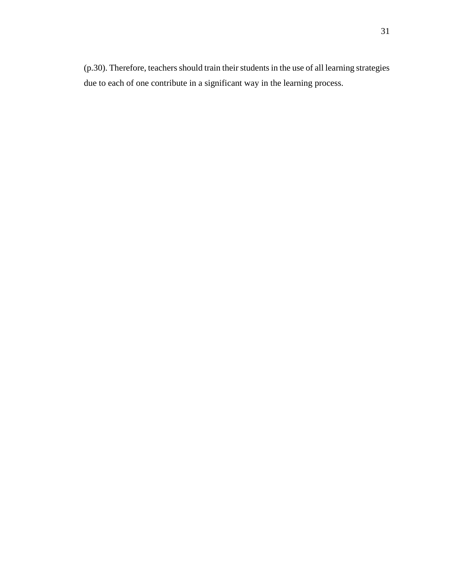$(p.30)$ . Therefore, teachers should train their students in the use of all learning strategies due to each of one contribute in a significant way in the learning process.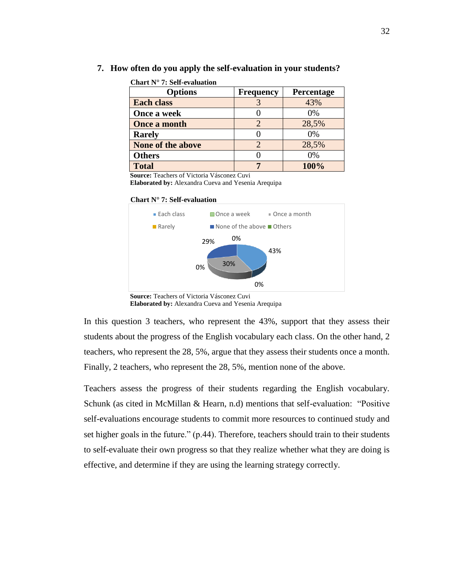**7. How often do you apply the self-evaluation in your students?**

|  | Chart $N^{\circ}$ 7: Self-evaluation |
|--|--------------------------------------|
|  |                                      |

<span id="page-43-0"></span>

| <b>Options</b>      | <b>Frequency</b> | Percentage |
|---------------------|------------------|------------|
| <b>Each class</b>   |                  | 43%        |
| Once a week         |                  | 0%         |
| <b>Once a month</b> |                  | 28,5%      |
| <b>Rarely</b>       |                  | 0%         |
| None of the above   |                  | 28,5%      |
| <b>Others</b>       |                  | 0%         |
| <b>Total</b>        |                  | 100%       |

 **Source:** Teachers of Victoria Vásconez Cuvi

 **Elaborated by:** Alexandra Cueva and Yesenia Arequipa





**Source:** Teachers of Victoria Vásconez Cuvi  **Elaborated by:** Alexandra Cueva and Yesenia Arequipa

In this question 3 teachers, who represent the 43%, support that they assess their students about the progress of the English vocabulary each class. On the other hand, 2 teachers, who represent the 28, 5%, argue that they assess their students once a month. Finally, 2 teachers, who represent the 28, 5%, mention none of the above.

Teachers assess the progress of their students regarding the English vocabulary. Schunk (as cited in McMillan & Hearn, n.d) mentions that self-evaluation: "Positive self-evaluations encourage students to commit more resources to continued study and set higher goals in the future." (p.44). Therefore, teachers should train to their students to self-evaluate their own progress so that they realize whether what they are doing is effective, and determine if they are using the learning strategy correctly.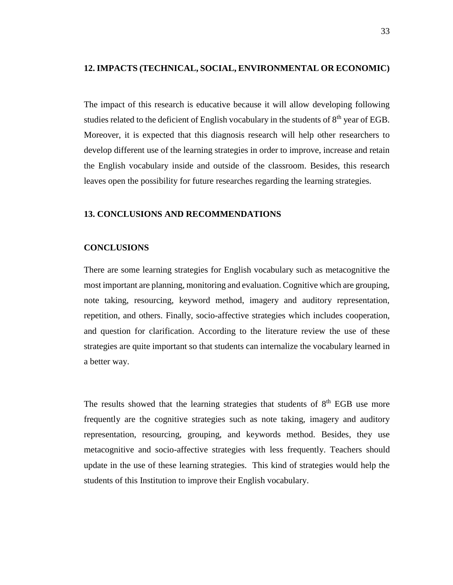#### <span id="page-44-0"></span>**12. IMPACTS (TECHNICAL, SOCIAL, ENVIRONMENTAL OR ECONOMIC)**

The impact of this research is educative because it will allow developing following studies related to the deficient of English vocabulary in the students of  $8<sup>th</sup>$  year of EGB. Moreover, it is expected that this diagnosis research will help other researchers to develop different use of the learning strategies in order to improve, increase and retain the English vocabulary inside and outside of the classroom. Besides, this research leaves open the possibility for future researches regarding the learning strategies.

#### <span id="page-44-1"></span>**13. CONCLUSIONS AND RECOMMENDATIONS**

#### <span id="page-44-2"></span>**CONCLUSIONS**

There are some learning strategies for English vocabulary such as metacognitive the most important are planning, monitoring and evaluation. Cognitive which are grouping, note taking, resourcing, keyword method, imagery and auditory representation, repetition, and others. Finally, socio-affective strategies which includes cooperation, and question for clarification. According to the literature review the use of these strategies are quite important so that students can internalize the vocabulary learned in a better way.

The results showed that the learning strategies that students of  $8<sup>th</sup>$  EGB use more frequently are the cognitive strategies such as note taking, imagery and auditory representation, resourcing, grouping, and keywords method. Besides, they use metacognitive and socio-affective strategies with less frequently. Teachers should update in the use of these learning strategies. This kind of strategies would help the students of this Institution to improve their English vocabulary.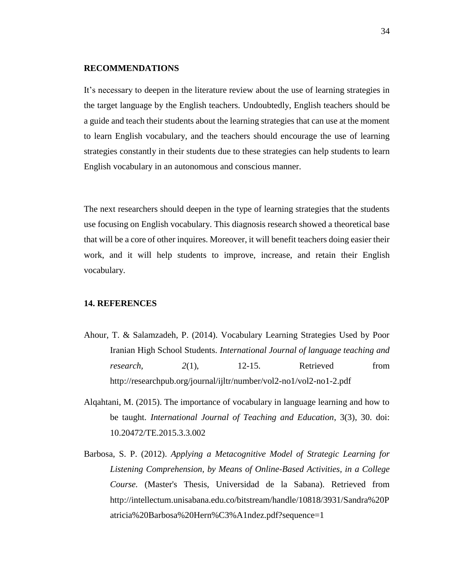#### <span id="page-45-0"></span>**RECOMMENDATIONS**

It's necessary to deepen in the literature review about the use of learning strategies in the target language by the English teachers. Undoubtedly, English teachers should be a guide and teach their students about the learning strategies that can use at the moment to learn English vocabulary, and the teachers should encourage the use of learning strategies constantly in their students due to these strategies can help students to learn English vocabulary in an autonomous and conscious manner.

The next researchers should deepen in the type of learning strategies that the students use focusing on English vocabulary. This diagnosis research showed a theoretical base that will be a core of other inquires. Moreover, it will benefit teachers doing easier their work, and it will help students to improve, increase, and retain their English vocabulary.

#### <span id="page-45-1"></span>**14. REFERENCES**

- Ahour, T. & Salamzadeh, P. (2014). Vocabulary Learning Strategies Used by Poor Iranian High School Students. *International Journal of language teaching and research,* 2(1), 12-15. Retrieved from http://researchpub.org/journal/ijltr/number/vol2-no1/vol2-no1-2.pdf
- Alqahtani, M. (2015). The importance of vocabulary in language learning and how to be taught. *International Journal of Teaching and Education*, 3(3), 30. doi: 10.20472/TE.2015.3.3.002
- Barbosa, S. P. (2012). *Applying a Metacognitive Model of Strategic Learning for Listening Comprehension, by Means of Online-Based Activities, in a College Course.* (Master's Thesis, Universidad de la Sabana). Retrieved from http://intellectum.unisabana.edu.co/bitstream/handle/10818/3931/Sandra%20P atricia%20Barbosa%20Hern%C3%A1ndez.pdf?sequence=1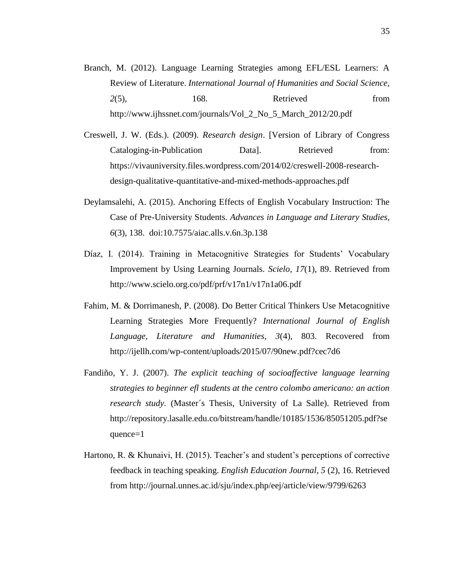- Branch, M. (2012). Language Learning Strategies among EFL/ESL Learners: A Review of Literature. *International Journal of Humanities and Social Science, 2*(5), 168. Retrieved from http://www.ijhssnet.com/journals/Vol\_2\_No\_5\_March\_2012/20.pdf
- Creswell, J. W. (Eds.). (2009). *Research design*. [Version of Library of Congress Cataloging-in-Publication Data]. Retrieved from: https://vivauniversity.files.wordpress.com/2014/02/creswell-2008-researchdesign-qualitative-quantitative-and-mixed-methods-approaches.pdf
- Deylamsalehi, A. (2015). Anchoring Effects of English Vocabulary Instruction: The Case of Pre-University Students. *Advances in Language and Literary Studies, 6*(3), 138. doi:10.7575/aiac.alls.v.6n.3p.138
- Díaz, I. (2014). Training in Metacognitive Strategies for Students' Vocabulary Improvement by Using Learning Journals. *Scielo, 17*(1), 89. Retrieved from http://www.scielo.org.co/pdf/prf/v17n1/v17n1a06.pdf
- Fahim, M. & Dorrimanesh, P. (2008). Do Better Critical Thinkers Use Metacognitive Learning Strategies More Frequently? *International Journal of English Language, Literature and Humanities*, *3*(4), 803. Recovered from http://ijellh.com/wp-content/uploads/2015/07/90new.pdf?cec7d6
- Fandiño, Y. J. (2007). *The explicit teaching of socioaffective language learning strategies to beginner efl students at the centro colombo americano: an action research study.* (Master´s Thesis, University of La Salle). Retrieved from http://repository.lasalle.edu.co/bitstream/handle/10185/1536/85051205.pdf?se quence=1
- Hartono, R. & Khunaivi, H. (2015). Teacher's and student's perceptions of corrective feedback in teaching speaking. *English Education Journal, 5* (2), 16. Retrieved from http://journal.unnes.ac.id/sju/index.php/eej/article/view/9799/6263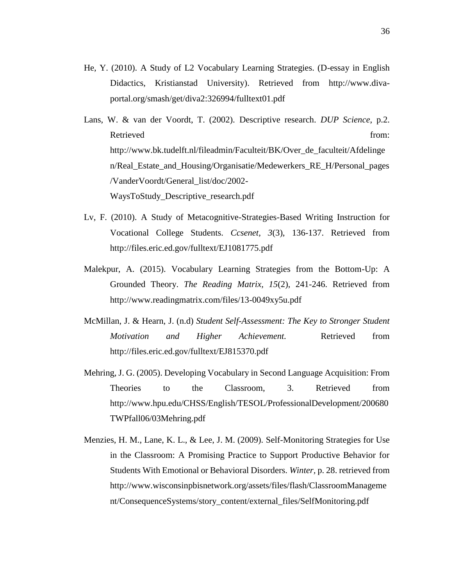- He, Y. (2010). A Study of L2 Vocabulary Learning Strategies. (D-essay in English Didactics, Kristianstad University). Retrieved from http://www.divaportal.org/smash/get/diva2:326994/fulltext01.pdf
- Lans, W. & van der Voordt, T. (2002). Descriptive research. *DUP Science*, p.2. Retrieved from:  $\blacksquare$ http://www.bk.tudelft.nl/fileadmin/Faculteit/BK/Over\_de\_faculteit/Afdelinge n/Real\_Estate\_and\_Housing/Organisatie/Medewerkers\_RE\_H/Personal\_pages /VanderVoordt/General\_list/doc/2002- WaysToStudy\_Descriptive\_research.pdf
- Lv, F. (2010). A Study of Metacognitive-Strategies-Based Writing Instruction for Vocational College Students. *Ccsenet, 3*(3), 136-137. Retrieved from http://files.eric.ed.gov/fulltext/EJ1081775.pdf
- Malekpur, A. (2015). Vocabulary Learning Strategies from the Bottom-Up: A Grounded Theory. *The Reading Matrix, 15*(2), 241-246. Retrieved from http://www.readingmatrix.com/files/13-0049xy5u.pdf
- McMillan, J. & Hearn, J. (n.d) *Student Self-Assessment: The Key to Stronger Student Motivation and Higher Achievement.* Retrieved from http://files.eric.ed.gov/fulltext/EJ815370.pdf
- Mehring, J. G. (2005). Developing Vocabulary in Second Language Acquisition: From Theories to the Classroom, 3. Retrieved from http://www.hpu.edu/CHSS/English/TESOL/ProfessionalDevelopment/200680 TWPfall06/03Mehring.pdf
- Menzies, H. M., Lane, K. L., & Lee, J. M. (2009). Self-Monitoring Strategies for Use in the Classroom: A Promising Practice to Support Productive Behavior for Students With Emotional or Behavioral Disorders. *Winter,* p. 28. retrieved from http://www.wisconsinpbisnetwork.org/assets/files/flash/ClassroomManageme nt/ConsequenceSystems/story\_content/external\_files/SelfMonitoring.pdf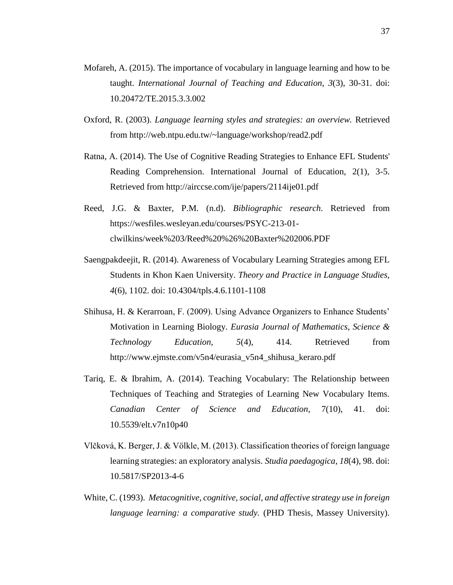- Mofareh, A. (2015). The importance of vocabulary in language learning and how to be taught. *International Journal of Teaching and Education*, *3*(3), 30-31. doi: 10.20472/TE.2015.3.3.002
- Oxford, R. (2003). *Language learning styles and strategies: an overview.* Retrieved from http://web.ntpu.edu.tw/~language/workshop/read2.pdf
- Ratna, A. (2014). The Use of Cognitive Reading Strategies to Enhance EFL Students' Reading Comprehension. International Journal of Education, 2(1), 3-5. Retrieved from http://airccse.com/ije/papers/2114ije01.pdf
- Reed, J.G. & Baxter, P.M. (n.d). *Bibliographic research*. Retrieved from https://wesfiles.wesleyan.edu/courses/PSYC-213-01 clwilkins/week%203/Reed%20%26%20Baxter%202006.PDF
- Saengpakdeejit, R. (2014). Awareness of Vocabulary Learning Strategies among EFL Students in Khon Kaen University. *Theory and Practice in Language Studies, 4*(6), 1102. doi: 10.4304/tpls.4.6.1101-1108
- Shihusa, H. & Kerarroan, F. (2009). Using Advance Organizers to Enhance Students' Motivation in Learning Biology. *Eurasia Journal of Mathematics, Science & Technology Education, 5*(4), 414. Retrieved from http://www.ejmste.com/v5n4/eurasia\_v5n4\_shihusa\_keraro.pdf
- Tariq, E. & Ibrahim, A. (2014). Teaching Vocabulary: The Relationship between Techniques of Teaching and Strategies of Learning New Vocabulary Items. *Canadian Center of Science and Education*, 7(10), 41. doi: 10.5539/elt.v7n10p40
- Vlčková, K. Berger, J. & Völkle, M. (2013). Classification theories of foreign language learning strategies: an exploratory analysis. *Studia paedagogica, 18*(4), 98. doi: 10.5817/SP2013-4-6
- White, C. (1993). *Metacognitive, cognitive, social, and affective strategy use in foreign language learning: a comparative study.* (PHD Thesis, Massey University).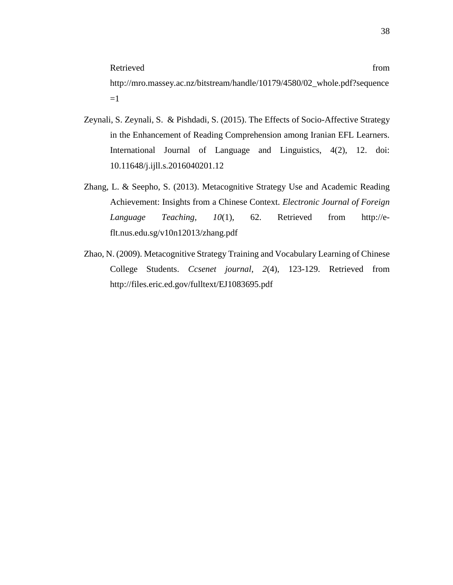http://mro.massey.ac.nz/bitstream/handle/10179/4580/02\_whole.pdf?sequence  $=1$ 

- Zeynali, S. Zeynali, S. & Pishdadi, S. (2015). The Effects of Socio-Affective Strategy in the Enhancement of Reading Comprehension among Iranian EFL Learners. International Journal of Language and Linguistics, 4(2), 12. doi: 10.11648/j.ijll.s.2016040201.12
- Zhang, L. & Seepho, S. (2013). Metacognitive Strategy Use and Academic Reading Achievement: Insights from a Chinese Context. *Electronic Journal of Foreign Language Teaching, 10*(1), 62. Retrieved from http://eflt.nus.edu.sg/v10n12013/zhang.pdf
- Zhao, N. (2009). Metacognitive Strategy Training and Vocabulary Learning of Chinese College Students. *Ccsenet journal*, *2*(4), 123-129. Retrieved from http://files.eric.ed.gov/fulltext/EJ1083695.pdf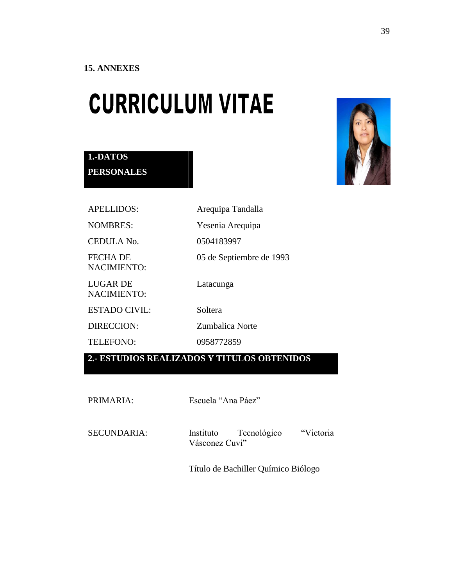**1.-DATOS** 

**PERSONALES**

# <span id="page-50-0"></span>**CURRICULUM VITAE**



# APELLIDOS: Arequipa Tandalla NOMBRES: Yesenia Arequipa CEDULA No. 0504183997 FECHA DE NACIMIENTO: 05 de Septiembre de 1993 LUGAR DE NACIMIENTO: Latacunga ESTADO CIVIL: Soltera DIRECCION: Zumbalica Norte TELEFONO: 0958772859

# **2.- ESTUDIOS REALIZADOS Y TITULOS OBTENIDOS**

PRIMARIA: Escuela "Ana Páez"

SECUNDARIA: Instituto Tecnológico "Victoria Vásconez Cuvi"

Título de Bachiller Químico Biólogo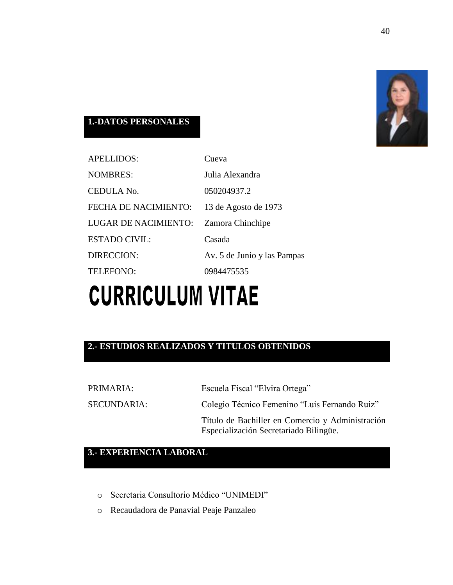

# **1.-DATOS PERSONALES**

| <b>APELLIDOS:</b>    | Cueva                       |
|----------------------|-----------------------------|
| <b>NOMBRES:</b>      | Julia Alexandra             |
| CEDULA No.           | 050204937.2                 |
| FECHA DE NACIMIENTO: | 13 de Agosto de 1973        |
| LUGAR DE NACIMIENTO: | Zamora Chinchipe            |
| <b>ESTADO CIVIL:</b> | Casada                      |
| DIRECCION:           | Av. 5 de Junio y las Pampas |
| TELEFONO:            | 0984475535                  |
|                      |                             |

# **CURRICULUM VITAE**

# **2.- ESTUDIOS REALIZADOS Y TITULOS OBTENIDOS**

| PRIMARIA:   | Escuela Fiscal "Elvira Ortega"                                                             |
|-------------|--------------------------------------------------------------------------------------------|
| SECUNDARIA: | Colegio Técnico Femenino "Luis Fernando Ruiz"                                              |
|             | Título de Bachiller en Comercio y Administración<br>Especialización Secretariado Bilingüe. |

# **3.- EXPERIENCIA LABORAL**

- o Secretaria Consultorio Médico "UNIMEDI"
- o Recaudadora de Panavial Peaje Panzaleo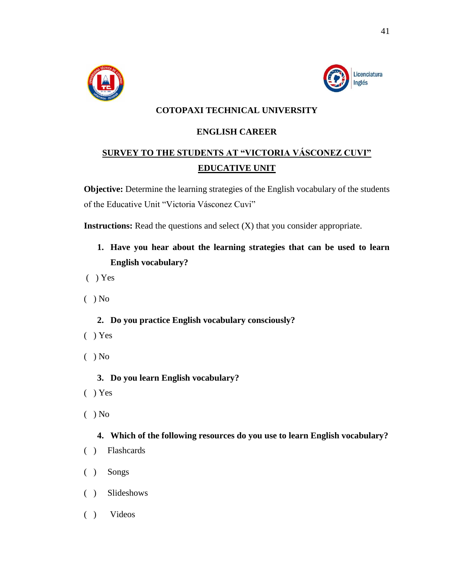



# **COTOPAXI TECHNICAL UNIVERSITY**

# **ENGLISH CAREER**

# **SURVEY TO THE STUDENTS AT "VICTORIA VÁSCONEZ CUVI" EDUCATIVE UNIT**

**Objective:** Determine the learning strategies of the English vocabulary of the students of the Educative Unit "Victoria Vásconez Cuvi"

**Instructions:** Read the questions and select (X) that you consider appropriate.

- **1. Have you hear about the learning strategies that can be used to learn English vocabulary?**
- ( ) Yes
- $( )$  No
	- **2. Do you practice English vocabulary consciously?**
- ( ) Yes
- $( )$  No
	- **3. Do you learn English vocabulary?**
- ( ) Yes
- ( ) No

## **4. Which of the following resources do you use to learn English vocabulary?**

- ( ) Flashcards
- ( ) Songs
- ( ) Slideshows
- ( ) Videos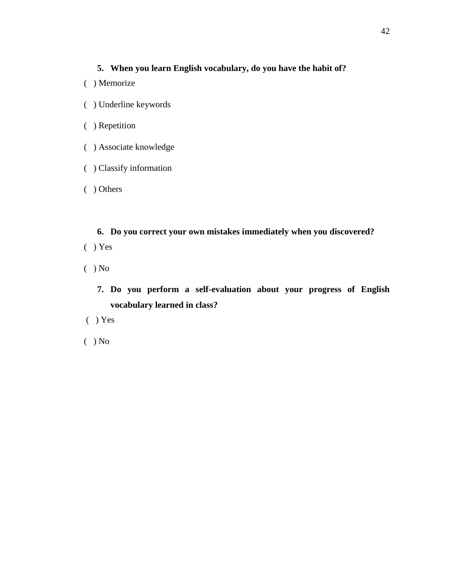# **5. When you learn English vocabulary, do you have the habit of?**

- ( ) Memorize
- ( ) Underline keywords
- ( ) Repetition
- ( ) Associate knowledge
- ( ) Classify information
- ( ) Others

**6. Do you correct your own mistakes immediately when you discovered?** ( ) Yes

- $( )$  No
	- **7. Do you perform a self-evaluation about your progress of English vocabulary learned in class?**
- ( ) Yes
- ( ) No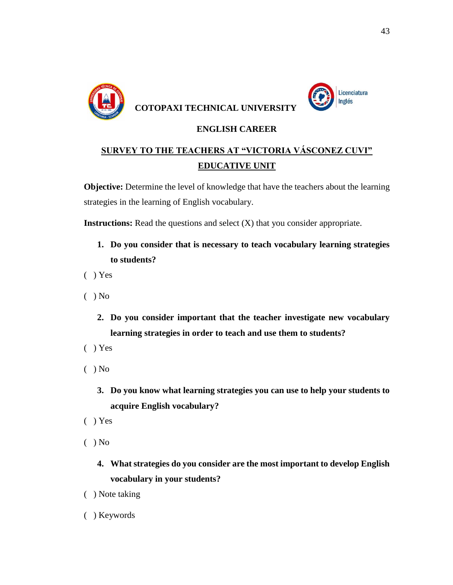

Licenciatura Inglés

# **ENGLISH CAREER**

# **SURVEY TO THE TEACHERS AT "VICTORIA VÁSCONEZ CUVI" EDUCATIVE UNIT**

**Objective:** Determine the level of knowledge that have the teachers about the learning strategies in the learning of English vocabulary.

**Instructions:** Read the questions and select  $(X)$  that you consider appropriate.

- **1. Do you consider that is necessary to teach vocabulary learning strategies to students?**
- ( ) Yes
- $( )$  No
	- **2. Do you consider important that the teacher investigate new vocabulary learning strategies in order to teach and use them to students?**
- ( ) Yes
- $( )$  No
	- **3. Do you know what learning strategies you can use to help your students to acquire English vocabulary?**
- ( ) Yes
- $( )$  No
	- **4. What strategies do you consider are the most important to develop English vocabulary in your students?**
- ( ) Note taking
- ( ) Keywords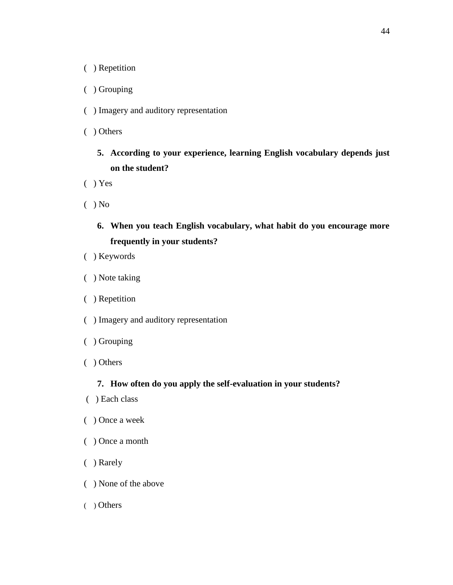( ) Repetition

- ( ) Grouping
- ( ) Imagery and auditory representation
- ( ) Others
	- **5. According to your experience, learning English vocabulary depends just on the student?**
- ( ) Yes
- $( )$  No
	- **6. When you teach English vocabulary, what habit do you encourage more frequently in your students?**
- ( ) Keywords
- ( ) Note taking
- ( ) Repetition
- ( ) Imagery and auditory representation
- ( ) Grouping
- ( ) Others

## **7. How often do you apply the self-evaluation in your students?**

- ( ) Each class
- ( ) Once a week
- ( ) Once a month
- ( ) Rarely
- ( ) None of the above
- ( ) Others